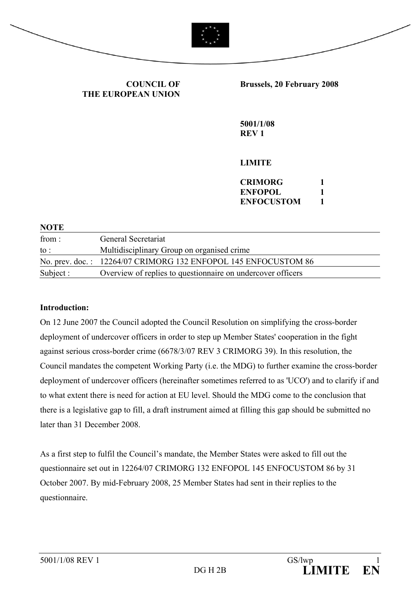



**COUNCIL OF THE EUROPEAN UNION** **Brussels, 20 February 2008** 

**5001/1/08 REV 1** 

**LIMITE** 

| CRIMORG           |  |
|-------------------|--|
| ENFOPOL           |  |
| <b>ENFOCUSTOM</b> |  |

| <b>NOTE</b> |                                                                |
|-------------|----------------------------------------------------------------|
| from:       | General Secretariat                                            |
| to :        | Multidisciplinary Group on organised crime                     |
|             | No. prev. doc.: 12264/07 CRIMORG 132 ENFOPOL 145 ENFOCUSTOM 86 |
| Subject :   | Overview of replies to question aire on undercover officers    |

#### **Introduction:**

On 12 June 2007 the Council adopted the Council Resolution on simplifying the cross-border deployment of undercover officers in order to step up Member States' cooperation in the fight against serious cross-border crime (6678/3/07 REV 3 CRIMORG 39). In this resolution, the Council mandates the competent Working Party (i.e. the MDG) to further examine the cross-border deployment of undercover officers (hereinafter sometimes referred to as 'UCO') and to clarify if and to what extent there is need for action at EU level. Should the MDG come to the conclusion that there is a legislative gap to fill, a draft instrument aimed at filling this gap should be submitted no later than 31 December 2008.

As a first step to fulfil the Council's mandate, the Member States were asked to fill out the questionnaire set out in 12264/07 CRIMORG 132 ENFOPOL 145 ENFOCUSTOM 86 by 31 October 2007. By mid-February 2008, 25 Member States had sent in their replies to the questionnaire.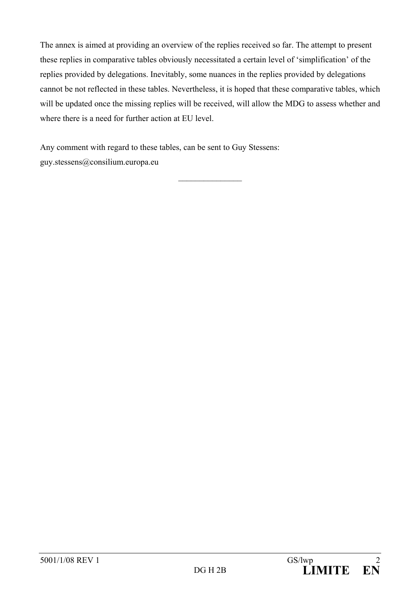The annex is aimed at providing an overview of the replies received so far. The attempt to present these replies in comparative tables obviously necessitated a certain level of 'simplification' of the replies provided by delegations. Inevitably, some nuances in the replies provided by delegations cannot be not reflected in these tables. Nevertheless, it is hoped that these comparative tables, which will be updated once the missing replies will be received, will allow the MDG to assess whether and where there is a need for further action at EU level.

 $\mathcal{L}_\text{max}$ 

Any comment with regard to these tables, can be sent to Guy Stessens: guy.stessens@consilium.europa.eu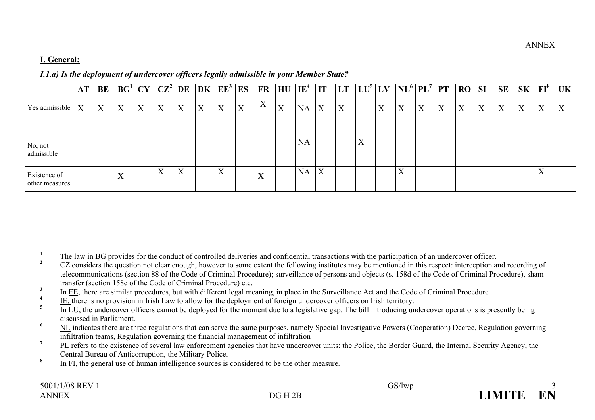# **I. General:**

### *I.1.a) Is the deployment of undercover officers legally admissible in your Member State?*

|                                | <b>AT</b>    | <b>BE</b> | BG <sup>1</sup>   | CY | $ {\bf CZ}^2 $ DE |                           |   | $ \mathrm{DK} \ \mathrm{EE}^3 $ | ES | <b>FR</b>         | HU | $IE^4$    | $\mathbf{I}$ | <b>LT</b> | $LU^5 LV$                 |   | $\mathbf{NL}^{\bullet}$   | PL' | <b>PT</b> | <b>RO</b> | <b>SI</b> | <b>SE</b> | $\overline{\textbf{S}}$ K | $FI^{\delta}$     | UK |
|--------------------------------|--------------|-----------|-------------------|----|-------------------|---------------------------|---|---------------------------------|----|-------------------|----|-----------|--------------|-----------|---------------------------|---|---------------------------|-----|-----------|-----------|-----------|-----------|---------------------------|-------------------|----|
| Yes admissible                 | $\mathbf{X}$ | X         | X                 | X  | X                 | X                         | X | X                               | X  | X                 | X  | <b>NA</b> | X            | X         |                           | X | X                         | X   | X         | X         | X         | X         | X                         | X                 | X  |
| No, not<br>admissible          |              |           |                   |    |                   |                           |   |                                 |    |                   |    | <b>NA</b> |              |           | $\mathbf{v}$<br>$\Lambda$ |   |                           |     |           |           |           |           |                           |                   |    |
| Existence of<br>other measures |              |           | $\mathbf{v}$<br>∡ |    | $\rm X$           | $\mathbf{v}$<br>$\Lambda$ |   | $\mathbf{v}$<br>$\Lambda$       |    | $\mathbf{x}$<br>∡ |    | <b>NA</b> | X            |           |                           |   | $\mathbf{v}$<br>$\Lambda$ |     |           |           |           |           |                           | $\mathbf{v}$<br>л |    |

<sup>&</sup>lt;sup>1</sup> The law in **BG** provides for the conduct of controlled deliveries and confidential transactions with the participation of an undercover officer.

**<sup>2</sup>** CZ considers the question not clear enough, however to some extent the following institutes may be mentioned in this respect: interception and recording of telecommunications (section 88 of the Code of Criminal Procedure); surveillance of persons and objects (s. 158d of the Code of Criminal Procedure), sham transfer (section 158c of the Code of Criminal Procedure) etc.

<sup>&</sup>lt;sup>3</sup> In <u>EE</u>, there are similar procedures, but with different legal meaning, in place in the Surveillance Act and the Code of Criminal Procedure

 $\frac{4}{10}$  IE: there is no provision in Irish Law to allow for the deployment of foreign undercover officers on Irish territory.

**<sup>5</sup>** In LU, the undercover officers cannot be deployed for the moment due to a legislative gap. The bill introducing undercover operations is presently being discussed in Parliament.

<sup>&</sup>lt;sup>6</sup> NL indicates there are three regulations that can serve the same purposes, namely Special Investigative Powers (Cooperation) Decree, Regulation governing infiltration teams, Regulation governing the financial management of infiltration

<sup>&</sup>lt;sup>7</sup> PL refers to the existence of several law enforcement agencies that have undercover units: the Police, the Border Guard, the Internal Security Agency, the Central Bureau of Anticorruption, the Military Police.

<sup>&</sup>lt;sup>8</sup> In FI, the general use of human intelligence sources is considered to be the other measure.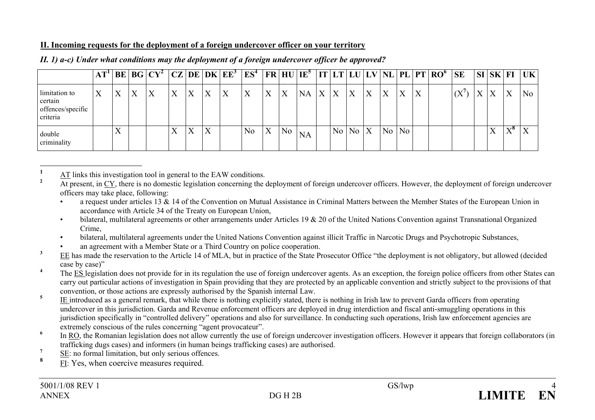# **II. Incoming requests for the deployment of a foreign undercover officer on your territory**

|                                                           | <b>BE</b> |   | $ BG CY^2 CZ DE DK EE^3$ |   |   |   |   | $\mathbb{E}S^4$ |   |                | $ FR HU IE^5 $  |   |                  |           |                  |                |                |   | $\vert$ IT $\vert$ LT $\vert$ LU $\vert$ LV $\vert$ NL $\vert$ PL $\vert$ PT $\vert$ RO $^6$ $\vert$ SE |                            |   | $\vert$ SI $\vert$ SK $\vert$ FI |              | UK  |
|-----------------------------------------------------------|-----------|---|--------------------------|---|---|---|---|-----------------|---|----------------|-----------------|---|------------------|-----------|------------------|----------------|----------------|---|---------------------------------------------------------------------------------------------------------|----------------------------|---|----------------------------------|--------------|-----|
| limitation to<br>certain<br>offences/specific<br>criteria | Χ         | X | X                        | X | X | X | X | X               | X |                | <b>NA</b>       | X | $\boldsymbol{X}$ | X         | $\boldsymbol{X}$ | X              | X              | X |                                                                                                         | $($ $\mathbf{V}^{\prime})$ | X | $\mathbf{V}$                     | X            | No. |
| double<br>criminality                                     | ٦Z        |   |                          | Χ | X | X |   | N <sub>0</sub>  | X | N <sub>0</sub> | NA <sup>-</sup> |   |                  | $No$ $No$ | $\mathbf{X}$     | N <sub>o</sub> | N <sub>o</sub> |   |                                                                                                         |                            |   | v                                | $X^{\delta}$ |     |

### *II. 1) a-c) Under what conditions may the deployment of a foreign undercover officer be approved?*

**1** $\frac{AT}{4}$  links this investigation tool in general to the EAW conditions.

**<sup>2</sup>** At present, in CY, there is no domestic legislation concerning the deployment of foreign undercover officers. However, the deployment of foreign undercover officers may take place, following:

a request under articles 13  $\&$  14 of the Convention on Mutual Assistance in Criminal Matters between the Member States of the European Union in accordance with Article 34 of the Treaty on European Union,

• bilateral, multilateral agreements or other arrangements under Articles 19 & 20 of the United Nations Convention against Transnational Organized Crime,

• bilateral, multilateral agreements under the United Nations Convention against illicit Traffic in Narcotic Drugs and Psychotropic Substances,

an agreement with a Member State or a Third Country on police cooperation.

<sup>3</sup> EE has made the reservation to the Article 14 of MLA, but in practice of the State Prosecutor Office "the deployment is not obligatory, but allowed (decided case by case)"

<sup>4</sup> The ES legislation does not provide for in its regulation the use of foreign undercover agents. As an exception, the foreign police officers from other States can carry out particular actions of investigation in Spain providing that they are protected by an applicable convention and strictly subject to the provisions of that convention, or those actions are expressly authorised by the Spanish internal Law.

<sup>5</sup> IE introduced as a general remark, that while there is nothing explicitly stated, there is nothing in Irish law to prevent Garda officers from operating undercover in this jurisdiction. Garda and Revenue enforcement officers are deployed in drug interdiction and fiscal anti-smuggling operations in this jurisdiction specifically in "controlled delivery" operations and also for surveillance. In conducting such operations, Irish law enforcement agencies are extremely conscious of the rules concerning "agent provocateur".

<sup>6</sup> In <u>RO</u>, the Romanian legislation does not allow currently the use of foreign undercover investigation officers. However it appears that foreign collaborators (in trafficking dugs cases) and informers (in human beings trafficking cases) are authorised.

**<sup>7</sup>** SE: no formal limitation, but only serious offences.

**8**FI: Yes, when coercive measures required.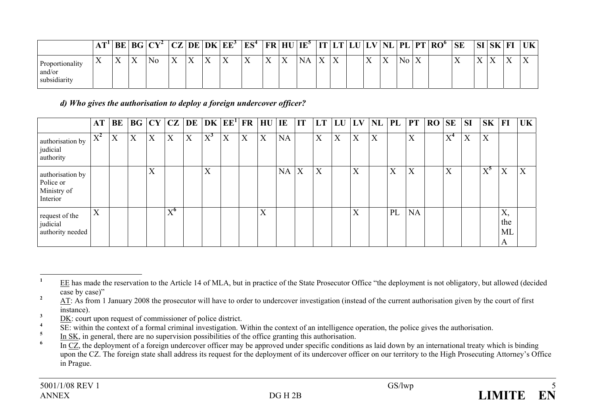|                                           | I ТI      | BE                        | BG                       | $ CY^2 $ | $\Gamma$                  | DE                        | DK                        | . $ EE^3 $ | $ES^4$    | <b>FR HU</b>              |              | $IE^{\circ}$ | IT           |                           | LU | $LV^{\dagger}$            | NL | $PL$ PT | $\mathbf{RO}^{\mathbf{6}}$ | <b>SE</b> | <b>SI</b>      | <b>SK</b>      | Fl                          | UK       |
|-------------------------------------------|-----------|---------------------------|--------------------------|----------|---------------------------|---------------------------|---------------------------|------------|-----------|---------------------------|--------------|--------------|--------------|---------------------------|----|---------------------------|----|---------|----------------------------|-----------|----------------|----------------|-----------------------------|----------|
| Proportionality<br>and/or<br>subsidiarity | $\lambda$ | $\mathbf{v}$<br>$\lambda$ | $\mathbf v$<br>$\Lambda$ | N0       | $\mathbf{v}$<br>$\Lambda$ | $\mathbf{v}$<br>$\Lambda$ | $\mathbf{v}$<br>$\Lambda$ | $\lambda$  | $\Lambda$ | $\mathbf{v}$<br>$\Lambda$ | $\mathbf{v}$ | <b>NA</b>    | $\mathbf{v}$ | $\mathbf{v}$<br>$\Lambda$ |    | $\mathbf{v}$<br>$\Lambda$ | ∡⊾ | No.     |                            | ∡⊾        | $\overline{1}$ | $\overline{ }$ | $\overline{Y}$<br>$\Lambda$ | $\Delta$ |

*d) Who gives the authorisation to deploy a foreign undercover officer?* 

|                                                          | AT                      | BE |   |                           |               |   | $\vert$ BG $\vert$ CY $\vert$ CZ $\vert$ DE $\vert$ DK $\vert$ EE <sup>1</sup> $\vert$ FR |   |   | <b>HU</b> | IE        | IT | LT | LU | $\mathbf{L}\mathbf{V}$    | <b>NL</b> | PL             | <b>PT</b> | <b>RO</b> | <b>SE</b> | <b>SI</b> | SK                        | $\bf{FI}$            | <b>UK</b>                 |
|----------------------------------------------------------|-------------------------|----|---|---------------------------|---------------|---|-------------------------------------------------------------------------------------------|---|---|-----------|-----------|----|----|----|---------------------------|-----------|----------------|-----------|-----------|-----------|-----------|---------------------------|----------------------|---------------------------|
| authorisation by<br>judicial<br>authority                | $\nabla^2$<br>$\Lambda$ | X  | X | X                         | X             | X | $X^3$                                                                                     | X | X | X         | <b>NA</b> |    | X  | X  | $\mathbf{v}$<br>$\Lambda$ | X         |                | X         |           | $X^4$     | X         | $\mathbf{v}$<br>$\lambda$ |                      |                           |
| authorisation by<br>Police or<br>Ministry of<br>Interior |                         |    |   | $\mathbf{v}$<br>$\Lambda$ |               |   | X                                                                                         |   |   |           | <b>NA</b> | X  | X  |    | $\mathbf{v}$<br>$\Lambda$ |           | $\overline{X}$ | X         |           | X         |           | $\rm\,X^5$                | X                    | $\mathbf{v}$<br>$\Lambda$ |
| request of the<br>judicial<br>authority needed           | X                       |    |   |                           | $X^{\bullet}$ |   |                                                                                           |   |   | X         |           |    |    |    | $\mathbf{v}$<br>$\Lambda$ |           | PL             | <b>NA</b> |           |           |           |                           | Х,<br>the<br>ML<br>A |                           |

<sup>&</sup>lt;sup>1</sup> EE has made the reservation to the Article 14 of MLA, but in practice of the State Prosecutor Office "the deployment is not obligatory, but allowed (decided case by case)"

<sup>&</sup>lt;sup>2</sup> AT: As from 1 January 2008 the prosecutor will have to order to undercover investigation (instead of the current authorisation given by the court of first instance).

 $\frac{3}{4}$  DK: court upon request of commissioner of police district.

<sup>&</sup>lt;sup>4</sup> SE: within the context of a formal criminal investigation. Within the context of an intelligence operation, the police gives the authorisation.

 $\frac{5}{10}$  In SK, in general, there are no supervision possibilities of the office granting this authorisation.

In CZ, the deployment of a foreign undercover officer may be approved under specific conditions as laid down by an international treaty which is binding upon the CZ. The foreign state shall address its request for the deployment of its undercover officer on our territory to the High Prosecuting Attorney's Office in Prague.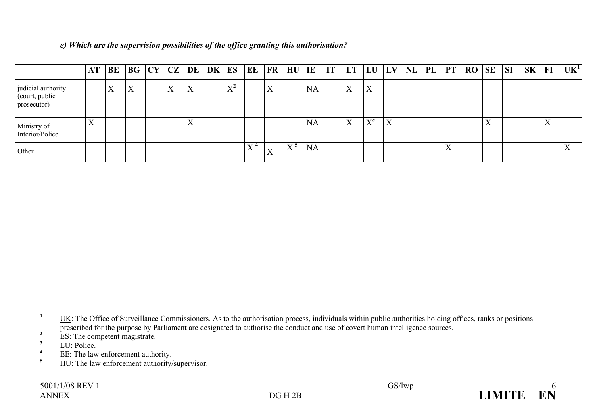|  |  |  |  | e) Which are the supervision possibilities of the office granting this authorisation? |
|--|--|--|--|---------------------------------------------------------------------------------------|
|  |  |  |  |                                                                                       |

|                                                     | AT        | BE | BG | $CY$ $CZ$ | DE | DK | ES                          | EE FR               |                           | HU                | IE        | IT | <b>LT</b> | LU                                  | LV             | <b>NL</b> | PL | <b>PT</b>                 | <b>RO</b> | <b>SE</b>         | <b>SI</b> | <b>SK</b> | H | UK <sup>1</sup> |
|-----------------------------------------------------|-----------|----|----|-----------|----|----|-----------------------------|---------------------|---------------------------|-------------------|-----------|----|-----------|-------------------------------------|----------------|-----------|----|---------------------------|-----------|-------------------|-----------|-----------|---|-----------------|
| judicial authority<br>(court, public<br>prosecutor) |           | X  | X  | X         | X  |    | $\mathbf{v}^2$<br>$\Lambda$ |                     | X                         |                   | <b>NA</b> |    | X         | X                                   |                |           |    |                           |           |                   |           |           |   |                 |
| Ministry of<br>Interior/Police                      | $\Lambda$ |    |    |           | A  |    |                             |                     |                           |                   | <b>NA</b> |    | X         | $\nabla^{\boldsymbol{\mathcal{S}}}$ | $\overline{X}$ |           |    |                           |           | $\mathbf{v}$<br>A |           |           | X |                 |
| Other                                               |           |    |    |           |    |    |                             | $\mathbf{v}$ 4<br>л | $\mathbf{v}$<br>$\Lambda$ | $X^{\mathcal{D}}$ | <b>NA</b> |    |           |                                     |                |           |    | $\mathbf{x}$<br>$\Lambda$ |           |                   |           |           |   |                 |

<sup>&</sup>lt;sup>1</sup> UK: The Office of Surveillance Commissioners. As to the authorisation process, individuals within public authorities holding offices, ranks or positions prescribed for the purpose by Parliament are designated to authorise the conduct and use of covert human intelligence sources.

 $\frac{2}{3}$  ES: The competent magistrate.

 $\frac{1}{4}$   $\frac{1}{E}$ : Police.

 $\frac{4}{5}$  EE: The law enforcement authority.

**HU**: The law enforcement authority/supervisor.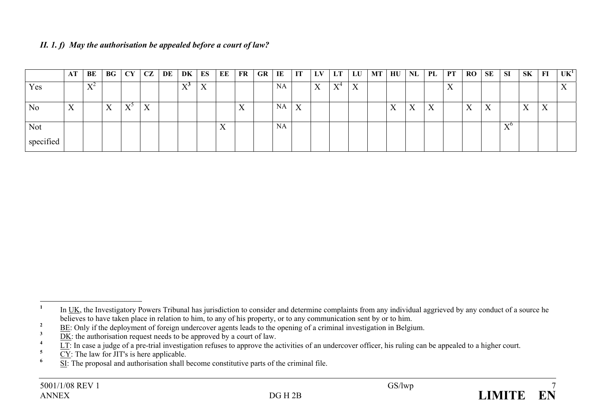| II. 1. $f$ ) May the authorisation be appealed before a court of law? |  |  |
|-----------------------------------------------------------------------|--|--|
|-----------------------------------------------------------------------|--|--|

|                | AT                        | BE                                       | BG | CY                             | CZ | DE | DK                        | ES | ЕE | <b>FR</b>                 | GR | IE        | IT | LV.                      | LT                          | LU | <b>MT</b> | HU               | NL | PL                        | <b>PT</b>                 | <b>RO</b>         | SE                        | <b>SI</b>                   | SK                        | F1 | UK <sup>1</sup>           |
|----------------|---------------------------|------------------------------------------|----|--------------------------------|----|----|---------------------------|----|----|---------------------------|----|-----------|----|--------------------------|-----------------------------|----|-----------|------------------|----|---------------------------|---------------------------|-------------------|---------------------------|-----------------------------|---------------------------|----|---------------------------|
| Yes            |                           | $\mathbf{x}$ z $\mathbf{z}$<br>$\lambda$ |    |                                |    |    | $\mathbf{v}$<br>$\Lambda$ | X  |    |                           |    | NA        |    | $\mathbf v$<br>$\Lambda$ | $\mathbf{V}^4$<br>$\Lambda$ | X  |           |                  |    |                           | $\mathbf{v}$<br>$\Lambda$ |                   |                           |                             |                           |    | $\mathbf{v}$<br>$\lambda$ |
|                |                           |                                          |    |                                |    |    |                           |    |    |                           |    |           |    |                          |                             |    |           |                  |    |                           |                           |                   |                           |                             |                           |    |                           |
| N <sub>o</sub> | $\mathbf{x}$<br>$\Lambda$ |                                          | X  | $V^{\mathcal{Y}}$<br>$\Lambda$ | X  |    |                           |    |    | $\mathbf{v}$<br>$\Lambda$ |    | NA        | X  |                          |                             |    |           | T.Z<br>$\Lambda$ | X  | $\mathbf{v}$<br>$\Lambda$ |                           | $\mathbf{v}$<br>л | $\mathbf{v}$<br>$\Lambda$ |                             | $\mathbf{v}$<br>$\Lambda$ | X  |                           |
|                |                           |                                          |    |                                |    |    |                           |    |    |                           |    |           |    |                          |                             |    |           |                  |    |                           |                           |                   |                           |                             |                           |    |                           |
| <b>Not</b>     |                           |                                          |    |                                |    |    |                           |    | X  |                           |    | <b>NA</b> |    |                          |                             |    |           |                  |    |                           |                           |                   |                           | $\mathbf{v}^0$<br>$\Lambda$ |                           |    |                           |
| specified      |                           |                                          |    |                                |    |    |                           |    |    |                           |    |           |    |                          |                             |    |           |                  |    |                           |                           |                   |                           |                             |                           |    |                           |



<sup>&</sup>lt;sup>1</sup> In UK, the Investigatory Powers Tribunal has jurisdiction to consider and determine complaints from any individual aggrieved by any conduct of a source he believes to have taken place in relation to him, to any of his property, or to any communication sent by or to him.

<sup>&</sup>lt;sup>2</sup> BE: Only if the deployment of foreign undercover agents leads to the opening of a criminal investigation in Belgium.

 $\frac{3}{2}$  DK: the authorisation request needs to be approved by a court of law.

 $\frac{1}{2}$  LT: In case a judge of a pre-trial investigation refuses to approve the activities of an undercover officer, his ruling can be appealed to a higher court.

 $\frac{6}{\sqrt{5}}$   $\frac{C}{\sqrt{5}}$ : The law for JIT's is here applicable.

**<sup>6</sup>** SI: The proposal and authorisation shall become constitutive parts of the criminal file.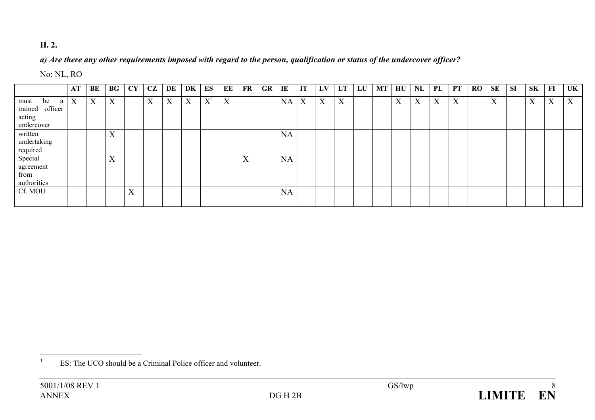# **II. 2.**

# *a) Are there any other requirements imposed with regard to the person, qualification or status of the undercover officer?*

# No: NL, RO

|                                                            | AT | BE | $\mathbf{B}\mathbf{G}$ | CY | CZ | DE | DK | ES    | EE               | FR | GR | IE | IT | LV | LT | LU | MT | $H$ U | NL               | PL | PT          | RO | <b>SE</b> | <b>SI</b> | <b>SK</b> | FI | UK |
|------------------------------------------------------------|----|----|------------------------|----|----|----|----|-------|------------------|----|----|----|----|----|----|----|----|-------|------------------|----|-------------|----|-----------|-----------|-----------|----|----|
| be<br>must<br>a<br>trained officer<br>acting<br>undercover | X  | X  | X                      |    | X  | X  | X  | $X^I$ | $\boldsymbol{X}$ |    |    | NA | X  | X  | X  |    |    | X     | $\boldsymbol{X}$ | X  | $\mathbf X$ |    | X         |           | X         | X  | X  |
| written<br>undertaking<br>required                         |    |    | X                      |    |    |    |    |       |                  |    |    | NA |    |    |    |    |    |       |                  |    |             |    |           |           |           |    |    |
| Special<br>agreement<br>from<br>authorities                |    |    | X                      |    |    |    |    |       |                  | X  |    | NA |    |    |    |    |    |       |                  |    |             |    |           |           |           |    |    |
| Cf. MOU                                                    |    |    |                        | X  |    |    |    |       |                  |    |    | NA |    |    |    |    |    |       |                  |    |             |    |           |           |           |    |    |

<sup>&</sup>lt;sup>1</sup> ES: The UCO should be a Criminal Police officer and volunteer.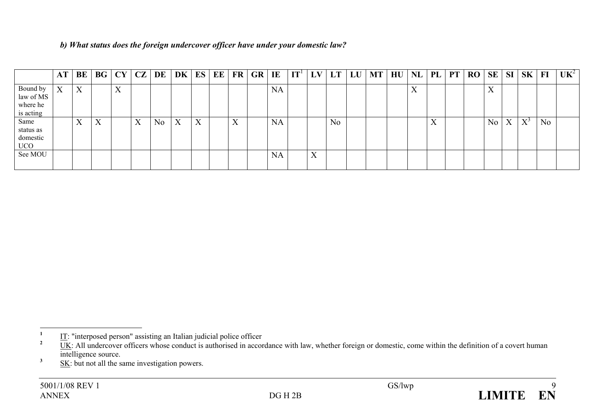|  |  | b) What status does the foreign undercover officer have under your domestic law? |  |  |  |
|--|--|----------------------------------------------------------------------------------|--|--|--|
|  |  |                                                                                  |  |  |  |

|                                                | AT                | BE                        | $\bf{B}$ <b>G</b> | CY                  | CZ | DE             | DK | ES | EE | $\mathbf{FR}$     | <b>GR</b> | IE        | IT <sup>1</sup> | LV                        | LT             | LU | <b>MT</b> | H U | <b>NL</b>                 | PL                       | <b>PT</b> | <b>RO</b> | <b>SE</b> | <b>SI</b>         | <b>SK</b>    | F1             | UK <sup>2</sup> |
|------------------------------------------------|-------------------|---------------------------|-------------------|---------------------|----|----------------|----|----|----|-------------------|-----------|-----------|-----------------|---------------------------|----------------|----|-----------|-----|---------------------------|--------------------------|-----------|-----------|-----------|-------------------|--------------|----------------|-----------------|
| Bound by<br>law of MS<br>where he<br>is acting | $\mathbf{v}$<br>A | X                         |                   | $\mathbf{v}$<br>ZX. |    |                |    |    |    |                   |           | <b>NA</b> |                 |                           |                |    |           |     | $\mathbf{v}$<br>$\Lambda$ |                          |           |           | ٦Z<br>∡   |                   |              |                |                 |
| Same<br>status as<br>domestic<br>UCO           |                   | $\mathbf{v}$<br>$\Lambda$ | X                 |                     | X  | N <sub>0</sub> | X  | X  |    | $\mathbf{x}$<br>л |           | <b>NA</b> |                 |                           | N <sub>o</sub> |    |           |     |                           | $\mathbf{v}$<br>$\Delta$ |           |           | No        | $\mathbf{v}$<br>A | $\mathbf{V}$ | N <sub>o</sub> |                 |
| See MOU                                        |                   |                           |                   |                     |    |                |    |    |    |                   |           | <b>NA</b> |                 | $\mathbf{v}$<br>$\Lambda$ |                |    |           |     |                           |                          |           |           |           |                   |              |                |                 |

 $\frac{1}{2}$  IT: "interposed person" assisting an Italian judicial police officer

UK: All undercover officers whose conduct is authorised in accordance with law, whether foreign or domestic, come within the definition of a covert human intelligence source.

 $\frac{3}{2}$  SK: but not all the same investigation powers.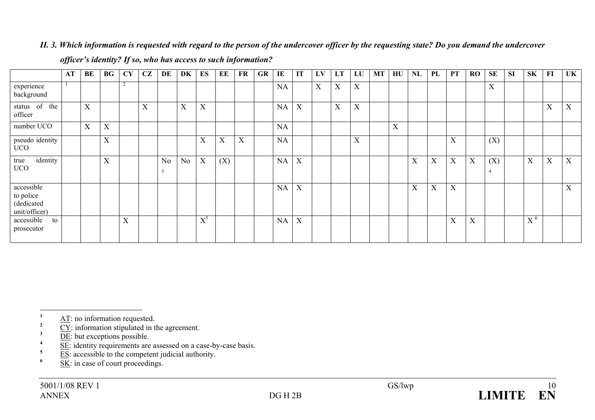# *II. 3. Which information is requested with regard to the person of the undercover officer by the requesting state? Do you demand the undercover*

|                                                        | AT | BE                        | $\bf{B}$ <b>G</b> | <b>CY</b>                 | CZ                | DE                  | DK             | <b>ES</b>         | EE                        | <b>FR</b> | <b>GR</b> | IE        | IT | LV          | LT                        | LU | <b>MT</b> | HU | NL | PL | <b>PT</b> | <b>RO</b> | <b>SE</b>             | <b>SI</b> | <b>SK</b>                   | FI                | UK                        |
|--------------------------------------------------------|----|---------------------------|-------------------|---------------------------|-------------------|---------------------|----------------|-------------------|---------------------------|-----------|-----------|-----------|----|-------------|---------------------------|----|-----------|----|----|----|-----------|-----------|-----------------------|-----------|-----------------------------|-------------------|---------------------------|
| experience<br>background                               |    |                           |                   |                           |                   |                     |                |                   |                           |           |           | NA        |    | $\mathbf X$ | X                         | X  |           |    |    |    |           |           | X                     |           |                             |                   |                           |
| status of the<br>officer                               |    | $\boldsymbol{\mathrm{X}}$ |                   |                           | $\mathbf{v}$<br>л |                     | X              | X                 |                           |           |           | <b>NA</b> | X  |             | $\boldsymbol{\mathrm{X}}$ | X  |           |    |    |    |           |           |                       |           |                             | $\mathbf{x}$<br>Λ | $\boldsymbol{\mathrm{X}}$ |
| number UCO                                             |    | X                         | X                 |                           |                   |                     |                |                   |                           |           |           | NA        |    |             |                           |    |           | X  |    |    |           |           |                       |           |                             |                   |                           |
| pseudo identity<br><b>UCO</b>                          |    |                           | X                 |                           |                   |                     |                | $\mathbf{v}$<br>A | $\mathbf{x}$<br>$\Lambda$ | X         |           | NA        |    |             |                           | X  |           |    |    |    | X         |           | (X)                   |           |                             |                   |                           |
| identity<br>true<br><b>UCO</b>                         |    |                           | X                 |                           |                   | N <sub>0</sub><br>3 | N <sub>0</sub> | X                 | (X)                       |           |           | NA        | X  |             |                           |    |           |    | X  | X  | X         | X         | (X)<br>$\overline{4}$ |           | X                           | $\mathbf{x}$<br>л | X                         |
| accessible<br>to police<br>(dedicated<br>unit/officer) |    |                           |                   |                           |                   |                     |                |                   |                           |           |           | <b>NA</b> | X  |             |                           |    |           |    | X  | X  | X         |           |                       |           |                             |                   | $\mathbf{v}$<br>$\Lambda$ |
| accessible<br>to<br>prosecutor                         |    |                           |                   | $\mathbf{v}$<br>$\Lambda$ |                   |                     |                | $\text{X}^5$      |                           |           |           | <b>NA</b> | X  |             |                           |    |           |    |    |    | X         | X         |                       |           | $\mathbf{v}$ 6<br>$\Lambda$ |                   |                           |

#### *officer's identity? If so, who has access to such information?*

 $\frac{AT}{2}$  **AT**: no information requested.

 $\frac{2}{3}$   $\frac{CY}{DE}$ : information stipulated in the agreement.

 $\frac{1}{2}$   $\frac{1}{2}$   $\frac{1}{2}$  identity requirements are assessed on a case-by-case basis.

- $\frac{5}{6}$  ES: accessible to the competent judicial authority.
- **6** SK: in case of court proceedings.

 $\frac{3}{4}$  <u>DE</u>: but exceptions possible.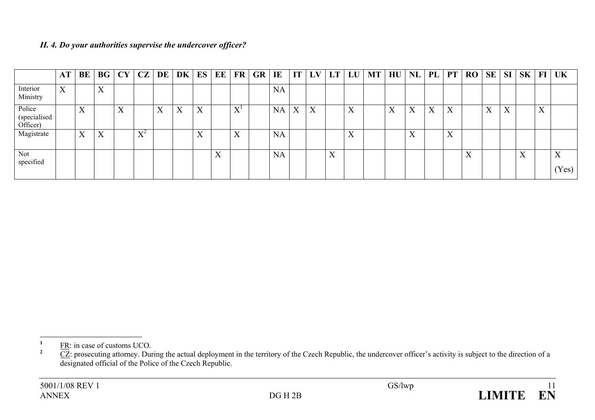# *II. 4. Do your authorities supervise the undercover officer?*

|                                    | <b>AT</b>        | <b>BE</b>                 | BG                        | CY                | CZ                          | DE | $DK$ $ES$         |                   | EE           | <b>FR</b>                 | <b>GR</b> | IE        | IT | LV                        |                          | $LT$ $LU$                 | <b>MT</b> | HU                | NL                        | PL | <b>PT</b> | RO | <b>SE</b> | SI                | S <sub>K</sub>   | $\bf{FI}$ | <b>UK</b>                  |
|------------------------------------|------------------|---------------------------|---------------------------|-------------------|-----------------------------|----|-------------------|-------------------|--------------|---------------------------|-----------|-----------|----|---------------------------|--------------------------|---------------------------|-----------|-------------------|---------------------------|----|-----------|----|-----------|-------------------|------------------|-----------|----------------------------|
| Interior<br>Ministry               | $\boldsymbol{X}$ |                           | $\mathbf{v}$<br>$\Lambda$ |                   |                             |    |                   |                   |              |                           |           | <b>NA</b> |    |                           |                          |                           |           |                   |                           |    |           |    |           |                   |                  |           |                            |
| Police<br>(specialised<br>Officer) |                  | $\mathbf{X}$<br>$\Lambda$ |                           | $\mathbf{v}$<br>A |                             | X  | $\mathbf{v}$<br>Λ | $\mathbf{v}$<br>△ |              | $\tau t$<br>л             |           | <b>NA</b> | X  | $\mathbf{v}$<br>$\Lambda$ |                          | $\mathbf{v}$<br>$\Lambda$ |           | $\mathbf{v}$<br>л | $\mathbf{v}$<br>$\Lambda$ | X  | X         |    | X         | $\mathbf{v}$<br>A |                  | X         |                            |
| Magistrate                         |                  | $\mathbf{v}$<br>$\Lambda$ | $\mathbf{x}$<br>$\Lambda$ |                   | $\mathbf{V}^2$<br>$\Lambda$ |    |                   | $\mathbf{x}$<br>△ |              | $\mathbf{x}$<br>$\Lambda$ |           | <b>NA</b> |    |                           |                          | $\mathbf{v}$<br>$\Lambda$ |           |                   | $\mathbf{v}$<br>$\Lambda$ |    | X         |    |           |                   |                  |           |                            |
| Not<br>specified                   |                  |                           |                           |                   |                             |    |                   |                   | $\mathbf{v}$ |                           |           | <b>NA</b> |    |                           | $\mathbf v$<br>$\Lambda$ |                           |           |                   |                           |    |           | X  |           |                   | $\mathbf v$<br>л |           | $\mathbf{v}$<br>л<br>(Yes) |
|                                    |                  |                           |                           |                   |                             |    |                   |                   |              |                           |           |           |    |                           |                          |                           |           |                   |                           |    |           |    |           |                   |                  |           |                            |

 $\frac{FR}{2}$  **FR:** in case of customs UCO.

 $2^2$  CZ: prosecuting attorney. During the actual deployment in the territory of the Czech Republic, the undercover officer's activity is subject to the direction of a designated official of the Police of the Czech Republic.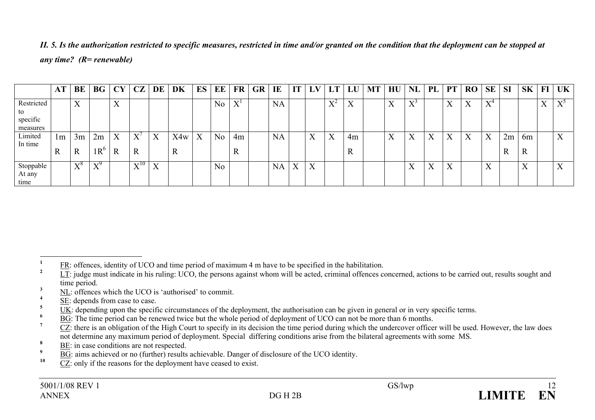|                                          | AT                | BE                 | <b>BG</b>                               | CY               | CZ                                       | DE                        | DK       | ES | EE             | FR                        | GR | IE        | IT | LV        | LT                          | LU                        | MT | HU                | NL                             | PL | <b>PT</b>         | <b>RO</b> | <b>SE</b>                              | <b>SI</b>         | <b>SK</b>                 | FI                        | <b>UK</b>                 |
|------------------------------------------|-------------------|--------------------|-----------------------------------------|------------------|------------------------------------------|---------------------------|----------|----|----------------|---------------------------|----|-----------|----|-----------|-----------------------------|---------------------------|----|-------------------|--------------------------------|----|-------------------|-----------|----------------------------------------|-------------------|---------------------------|---------------------------|---------------------------|
| Restricted<br>to<br>specific<br>measures |                   | $\mathbf{v}$<br>A  |                                         | X                |                                          |                           |          |    | N <sub>o</sub> | $\mathbf{V}^{\perp}$<br>A |    | <b>NA</b> |    |           | $\mathbf{V}^2$<br>$\Lambda$ | $\mathbf{v}$<br>$\Lambda$ |    | $\mathbf{v}$<br>△ | $\nabla^{\jmath}$<br>$\Lambda$ |    | $\mathbf{v}$<br>л | X         | $\mathbf{x}$ $\mathbf{z}$<br>$\Lambda$ |                   |                           | $\mathbf{v}$<br>$\Lambda$ | $\nabla^2$<br>л           |
| Limited<br>In time                       | 1m<br>$\mathbf R$ | 3m<br>$\mathbb{R}$ | 2m<br>$1R^6$                            | X<br>$\mathbf R$ | $\boldsymbol{\mathrm{X}}$<br>$\mathbf R$ | X                         | X4w<br>A | X  | N <sub>o</sub> | 4m<br>$\mathbb{R}$        |    | <b>NA</b> |    | $\Lambda$ | X                           | 4m<br>$\mathbf R$         |    | $\mathbf{v}$<br>л | X                              | X  | X                 | X         | X                                      | 2m<br>$\mathbf R$ | 6m<br>$\mathbf R$         |                           | $\mathbf{v}$<br>$\Lambda$ |
| Stoppable<br>At any<br>time              |                   | $X^8$              | $\mathbf{v}^{\mathcal{Y}}$<br>$\Lambda$ |                  | $\mathbf{v}^{10}$<br>л                   | $\mathbf{v}$<br>$\Lambda$ |          |    | N <sub>o</sub> |                           |    | NA        | X  | X         |                             |                           |    |                   | X                              | X  | $\mathbf v$<br>A  |           | $\mathbf{v}$<br>∡                      |                   | $\mathbf{v}$<br>$\Lambda$ |                           | $\mathbf{v}$              |

*II. 5. Is the authorization restricted to specific measures, restricted in time and/or granted on the condition that the deployment can be stopped at any time? (R= renewable)* 

- **<sup>3</sup>** NL: offences which the UCO is 'authorised' to commit.
- $\frac{4}{5}$   $\frac{\overline{\text{SE}}}{\text{I.V.}}$  depends from case to case.

- $\frac{6}{7}$  BG: The time period can be renewed twice but the whole period of deployment of UCO can not be more than 6 months.
- **<sup>7</sup>** CZ: there is an obligation of the High Court to specify in its decision the time period during which the undercover officer will be used. However, the law does not determine any maximum period of deployment. Special differing conditions arise from the bilateral agreements with some MS.
- $\frac{8}{2}$  BE: in case conditions are not respected.
- $\frac{9}{10}$  BG: aims achieved or no (further) results achievable. Danger of disclosure of the UCO identity.
- **10** CZ: only if the reasons for the deployment have ceased to exist.

**<sup>1</sup>** FR: offences, identity of UCO and time period of maximum 4 m have to be specified in the habilitation.

LT: judge must indicate in his ruling: UCO, the persons against whom will be acted, criminal offences concerned, actions to be carried out, results sought and time period.

<sup>&</sup>lt;sup>5</sup> UK: depending upon the specific circumstances of the deployment, the authorisation can be given in general or in very specific terms.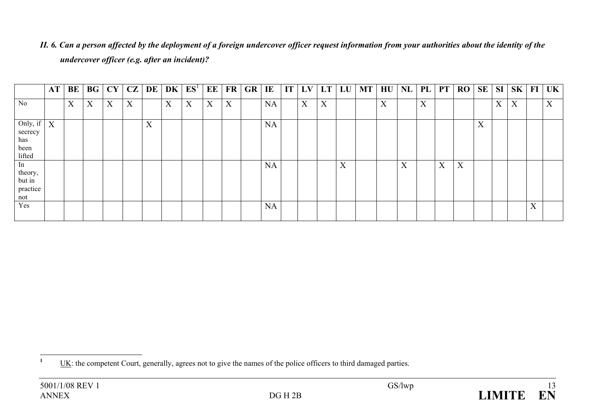|                                                            | AT | BE | BG | CY | CZ | DE                        | DK | E S <sup>T</sup> | EE               | FR | GR | IE        | $\mathbf{I} \mathbf{T}$ | LV | LT | LU | <b>MT</b> | HU | <b>NL</b> | PL | <b>PT</b> | RO | SE | SI                | SK |   | $FI$ UK          |
|------------------------------------------------------------|----|----|----|----|----|---------------------------|----|------------------|------------------|----|----|-----------|-------------------------|----|----|----|-----------|----|-----------|----|-----------|----|----|-------------------|----|---|------------------|
| No                                                         |    | X  | X  | X  | X  |                           | X  | $\boldsymbol{X}$ | $\boldsymbol{X}$ | X  |    | NA        |                         | X  | X  |    |           | X  |           | X  |           |    |    | $X_{\mathcal{I}}$ | X  |   | $\boldsymbol{X}$ |
| Only, if $\mid X \mid$<br>secrecy<br>has<br>been<br>lifted |    |    |    |    |    | $\mathbf{v}$<br>$\Lambda$ |    |                  |                  |    |    | <b>NA</b> |                         |    |    |    |           |    |           |    |           |    | X  |                   |    |   |                  |
| In<br>theory,<br>but in<br>practice<br>not                 |    |    |    |    |    |                           |    |                  |                  |    |    | <b>NA</b> |                         |    |    | X  |           |    | X         |    | X         | X  |    |                   |    |   |                  |
| Yes                                                        |    |    |    |    |    |                           |    |                  |                  |    |    | <b>NA</b> |                         |    |    |    |           |    |           |    |           |    |    |                   |    | X |                  |

*II. 6. Can a person affected by the deployment of a foreign undercover officer request information from your authorities about the identity of the undercover officer (e.g. after an incident)?* 

<sup>&</sup>lt;sup>1</sup> UK: the competent Court, generally, agrees not to give the names of the police officers to third damaged parties.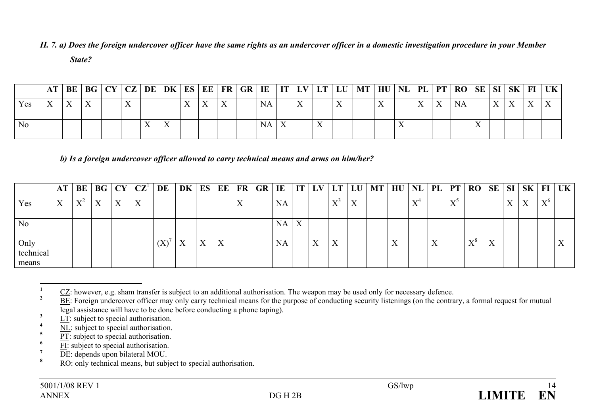*II. 7. a) Does the foreign undercover officer have the same rights as an undercover officer in a domestic investigation procedure in your Member State?* 

|                |                           |              |  |     |                           |  |              | AT   BE   BG   CY   CZ   DE   DK   ES   EE   FR   GR   IE   IT   LV   LT   LU |           |              |              | MT   HU   NL   PL   PT   RO   SE   SI   SK   FI   UK |  |  |           |  |  |  |
|----------------|---------------------------|--------------|--|-----|---------------------------|--|--------------|-------------------------------------------------------------------------------|-----------|--------------|--------------|------------------------------------------------------|--|--|-----------|--|--|--|
| Yes            | $\mathbf{v}$<br>$\Lambda$ | $\mathbf{v}$ |  |     |                           |  | $\mathbf{v}$ |                                                                               | <b>NA</b> |              |              |                                                      |  |  | <b>NA</b> |  |  |  |
| N <sub>0</sub> |                           |              |  | TT. | $\mathbf{v}$<br>$\Lambda$ |  |              |                                                                               | NA        | $\mathbf{v}$ | $\mathbf{v}$ |                                                      |  |  |           |  |  |  |

*b) Is a foreign undercover officer allowed to carry technical means and arms on him/her?* 

|                            | AT                        | BE  |                           |   | BG   CY   CZ' | DE  | DK | ES               |   |                           | $E$ $ FR GR IE$ |           |              | $IT$ LV           |                           |                   | $LT$ $LU$ $MT$ $HU$ | NL                             | $\mathsf{P}\mathbf{L}_\perp$ | PT                | RO                | $\vert$ SE $\vert$ SI $\vert$ |           | SK                        | FI                          | UK |
|----------------------------|---------------------------|-----|---------------------------|---|---------------|-----|----|------------------|---|---------------------------|-----------------|-----------|--------------|-------------------|---------------------------|-------------------|---------------------|--------------------------------|------------------------------|-------------------|-------------------|-------------------------------|-----------|---------------------------|-----------------------------|----|
| Yes                        | $\mathbf{v}$<br>$\Lambda$ | X74 | $\mathbf{v}$<br>$\Lambda$ | X | X             |     |    |                  |   | $\mathbf{v}$<br>$\Lambda$ |                 | <b>NA</b> |              |                   | $\mathbf{X} \mathcal{F}$  | $\mathbf{v}$<br>A |                     | $\mathbf{x}$ $\mathbf{z}$<br>∡ |                              | $\mathbf{v}$<br>∡ |                   |                               | <b>TT</b> | $\mathbf{v}$<br>$\Lambda$ | $\mathbf{x}$ z $\mathbf{0}$ |    |
| N <sub>o</sub>             |                           |     |                           |   |               |     |    |                  |   |                           |                 | NA.       | $\mathbf{v}$ |                   |                           |                   |                     |                                |                              |                   |                   |                               |           |                           |                             |    |
| Only<br>technical<br>means |                           |     |                           |   |               | (X) | X  | $\mathbf v$<br>л | X |                           |                 | <b>NA</b> |              | $\mathbf{v}$<br>A | $\mathbf{v}$<br>$\Lambda$ |                   |                     |                                | $\mathbf{v}$                 |                   | $\mathbf{V}$<br>л | ∡⊾                            |           |                           |                             |    |

**<sup>1</sup>** CZ: however, e.g. sham transfer is subject to an additional authorisation. The weapon may be used only for necessary defence.

- $\frac{5}{\text{PT}}$ : subject to special authorisation.
- $\frac{6}{7}$  FI: subject to special authorisation.
- $\frac{7}{8}$  <u>DE</u>: depends upon bilateral MOU.
- **<sup>8</sup>** RO: only technical means, but subject to special authorisation.

**<sup>&</sup>lt;u>BE</u>**: Foreign undercover officer may only carry technical means for the purpose of conducting security listenings (on the contrary, a formal request for mutual legal assistance will have to be done before conducting a phone taping).

 $\frac{3}{4}$   $\frac{LT}{NH}$ : subject to special authorisation.

 $\frac{4}{5}$  NL: subject to special authorisation.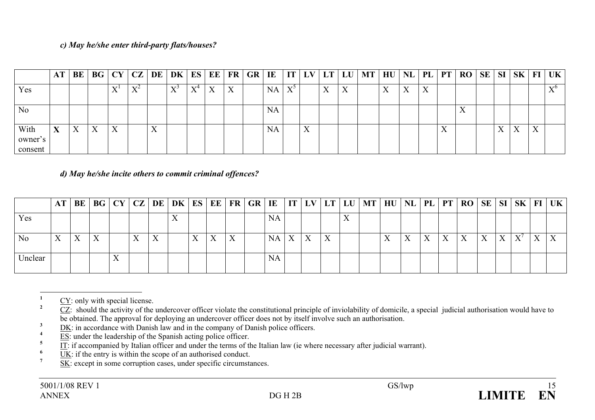# *c) May he/she enter third-party flats/houses?*

|                            | AT           | BE               | BG CY CZ |                         |       | DE                        | DK           |       |   |   | $\mid$ ES $\mid$ EE $\mid$ FR $\mid$ GR $\mid$ IE $\mid$ |           | IT <sub>1</sub> | LV       | LT                | LU        | <b>MT</b> | HU | NL        |   |           | PL PT RO  | <b>SE</b> | SI                | $\mathbf{S}$ <b>K</b>     |              | $FI$ UK |
|----------------------------|--------------|------------------|----------|-------------------------|-------|---------------------------|--------------|-------|---|---|----------------------------------------------------------|-----------|-----------------|----------|-------------------|-----------|-----------|----|-----------|---|-----------|-----------|-----------|-------------------|---------------------------|--------------|---------|
| Yes                        |              |                  |          | $\overline{\mathbf{x}}$ | $X^2$ |                           | $\mathbf{V}$ | $X^4$ | X | X |                                                          | NA        | $X^{\circ}$     |          | $\mathbf{v}$<br>Λ | $\Lambda$ |           | л  | $\Lambda$ | X |           |           |           |                   |                           |              | マア      |
| N <sub>0</sub>             |              |                  |          |                         |       |                           |              |       |   |   |                                                          | <b>NA</b> |                 |          |                   |           |           |    |           |   |           | $\Lambda$ |           |                   |                           |              |         |
| With<br>owner's<br>consent | $\mathbf{v}$ | $\boldsymbol{X}$ | X        | $\Lambda$               |       | $\mathbf{v}$<br>$\Lambda$ |              |       |   |   |                                                          | <b>NA</b> |                 | ▼▼<br>∡⊾ |                   |           |           |    |           |   | $\Lambda$ |           |           | $\mathbf{v}$<br>л | $\mathbf{v}$<br>$\Lambda$ | $\mathbf{v}$ |         |

*d) May he/she incite others to commit criminal offences?* 

|                | AT | BE |                |   |           |   |   |           |   |   |                  |    | BG   CY   CZ   DE   DK   ES   EE   FR   GR   IE   IT   LV   LT   LU   MT   HU   NL   PL   PT |                   |  |   | RO SE SI SK  |   |              |   |                  | $\mid$ FI $\mid$ UK $\mid$ |
|----------------|----|----|----------------|---|-----------|---|---|-----------|---|---|------------------|----|----------------------------------------------------------------------------------------------|-------------------|--|---|--------------|---|--------------|---|------------------|----------------------------|
| Yes            |    |    |                |   |           |   |   | NA        |   |   |                  | ∡⊾ |                                                                                              |                   |  |   |              |   |              |   |                  |                            |
| N <sub>0</sub> |    | X  | Y<br>$\Lambda$ | A | $\Lambda$ | X | X | <b>NA</b> | X | Χ | $\mathbf v$<br>л |    |                                                                                              | $\mathbf{x}$<br>△ |  | X | $\mathbf{v}$ | X | $\mathbf{v}$ | X | $\boldsymbol{X}$ |                            |
| Jnclear        |    |    |                |   |           |   |   | <b>NA</b> |   |   |                  |    |                                                                                              |                   |  |   |              |   |              |   |                  |                            |

 $\frac{1}{2}$  CY: only with special license.

**<sup>2</sup>** CZ: should the activity of the undercover officer violate the constitutional principle of inviolability of domicile, a special judicial authorisation would have to be obtained. The approval for deploying an undercover officer does not by itself involve such an authorisation.

**3** DK: in accordance with Danish law and in the company of Danish police officers.

 $\frac{4}{5}$  ES: under the leadership of the Spanish acting police officer.

 $\frac{1}{11}$ : if accompanied by Italian officer and under the terms of the Italian law (ie where necessary after judicial warrant).

 $\frac{6}{7}$  UK: if the entry is within the scope of an authorised conduct.

SK: except in some corruption cases, under specific circumstances.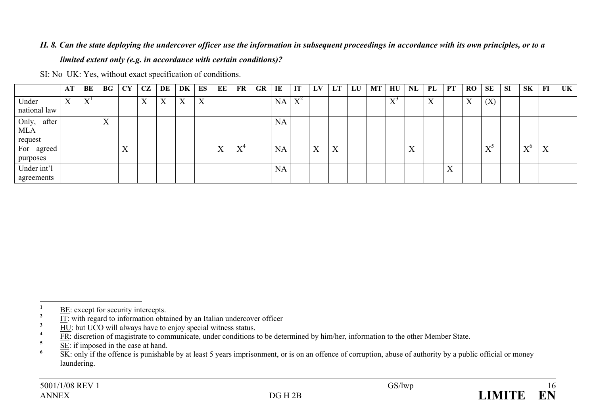# *II. 8. Can the state deploying the undercover officer use the information in subsequent proceedings in accordance with its own principles, or to a limited extent only (e.g. in accordance with certain conditions)?*

SI: No UK: Yes, without exact specification of conditions.

|                                      | AT                        | BE                        | BG                        | <b>CY</b>                 | CZ                        | DE | DK | ES | EE | FR    | <b>GR</b> | IE        | IT    | LV                | LT        | LU | <b>MT</b> | HU                                | <b>NL</b>                 | PL                        | PT             | <b>RO</b> | <b>SE</b>               | <b>SI</b> | <b>SK</b>         | FI | UK |
|--------------------------------------|---------------------------|---------------------------|---------------------------|---------------------------|---------------------------|----|----|----|----|-------|-----------|-----------|-------|-------------------|-----------|----|-----------|-----------------------------------|---------------------------|---------------------------|----------------|-----------|-------------------------|-----------|-------------------|----|----|
| Under<br>national law                | $\mathbf{v}$<br>$\Lambda$ | $\mathbf{v}$<br>$\Lambda$ |                           |                           | $\mathbf{v}$<br>$\Lambda$ | X  | X  | X  |    |       |           | <b>NA</b> | $X^2$ |                   |           |    |           | $\mathbf{X}^{\star}$<br>$\Lambda$ |                           | $\mathbf{v}$<br>$\Lambda$ |                | X         | (X)                     |           |                   |    |    |
| Only, after<br><b>MLA</b><br>request |                           |                           | $\mathbf{x}$<br>$\Lambda$ |                           |                           |    |    |    |    |       |           | <b>NA</b> |       |                   |           |    |           |                                   |                           |                           |                |           |                         |           |                   |    |    |
| For agreed<br>purposes               |                           |                           |                           | $\mathbf{v}$<br>$\Lambda$ |                           |    |    |    | X  | $X^4$ |           | <b>NA</b> |       | $\mathbf{v}$<br>Λ | $\Lambda$ |    |           |                                   | $\mathbf{v}$<br>$\Lambda$ |                           |                |           | $\nabla^2$<br>$\Lambda$ |           | $\mathbf{x}$<br>л | X  |    |
| Under int'l<br>agreements            |                           |                           |                           |                           |                           |    |    |    |    |       |           | <b>NA</b> |       |                   |           |    |           |                                   |                           |                           | <b>TT</b><br>Λ |           |                         |           |                   |    |    |

 $\frac{1}{2}$  BE: except for security intercepts.

 $\frac{2}{3}$  IT: with regard to information obtained by an Italian undercover officer

 $\frac{3}{4}$   $\frac{1}{2}$  HU: but UCO will always have to enjoy special witness status.

<sup>&</sup>lt;sup>4</sup> FR: discretion of magistrate to communicate, under conditions to be determined by him/her, information to the other Member State.

 $\frac{5}{10}$  SE: if imposed in the case at hand.

**<sup>&</sup>lt;u>SK</u>**: only if the offence is punishable by at least 5 years imprisonment, or is on an offence of corruption, abuse of authority by a public official or money laundering.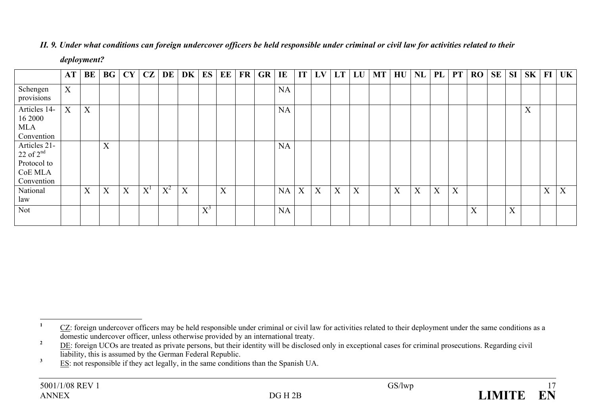|                                                                       | AT | BE |   | $BG$ $CY$                 | CZ    | DE    | DK | ES    | EE | $\mathbf{FR}$ | <b>GR</b> | $\bf{I}$ <b>E</b> | IT <sub>1</sub> | LV | LT | LU | <b>MT</b> | HU | NL | <b>PL</b> | <b>PT</b> | RO | <b>SE</b> | <b>SI</b> | SK               | $\bf{FI}$ | UK |
|-----------------------------------------------------------------------|----|----|---|---------------------------|-------|-------|----|-------|----|---------------|-----------|-------------------|-----------------|----|----|----|-----------|----|----|-----------|-----------|----|-----------|-----------|------------------|-----------|----|
| Schengen<br>provisions                                                | X  |    |   |                           |       |       |    |       |    |               |           | NA                |                 |    |    |    |           |    |    |           |           |    |           |           |                  |           |    |
| Articles 14-<br>16 2000<br>MLA<br>Convention                          | X  | X  |   |                           |       |       |    |       |    |               |           | NA                |                 |    |    |    |           |    |    |           |           |    |           |           | $\boldsymbol{X}$ |           |    |
| Articles 21-<br>$22$ of $2nd$<br>Protocol to<br>CoE MLA<br>Convention |    |    | X |                           |       |       |    |       |    |               |           | <b>NA</b>         |                 |    |    |    |           |    |    |           |           |    |           |           |                  |           |    |
| National<br>law                                                       |    | X  | X | $\boldsymbol{\mathrm{X}}$ | $X^1$ | $X^2$ | X  |       | X  |               |           | NA                | X               | X  | X  | X  |           | X  | X  | X         | X         |    |           |           |                  | X         | X  |
| Not                                                                   |    |    |   |                           |       |       |    | $X^3$ |    |               |           | NA                |                 |    |    |    |           |    |    |           |           | X  |           | X         |                  |           |    |

# *II. 9. Under what conditions can foreign undercover officers be held responsible under criminal or civil law for activities related to their*

*deployment?* 

<sup>&</sup>lt;sup>1</sup> CZ: foreign undercover officers may be held responsible under criminal or civil law for activities related to their deployment under the same conditions as a domestic undercover officer, unless otherwise provided by an international treaty.

<sup>&</sup>lt;sup>2</sup> DE: foreign UCOs are treated as private persons, but their identity will be disclosed only in exceptional cases for criminal prosecutions. Regarding civil liability, this is assumed by the German Federal Republic.

<sup>&</sup>lt;sup>3</sup> ES: not responsible if they act legally, in the same conditions than the Spanish UA.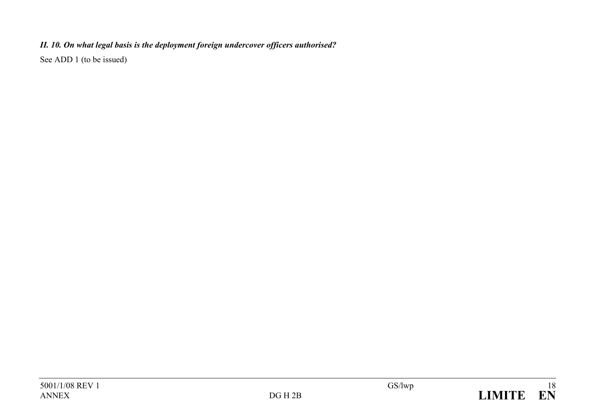# *II. 10. On what legal basis is the deployment foreign undercover officers authorised?*

See ADD 1 (to be issued)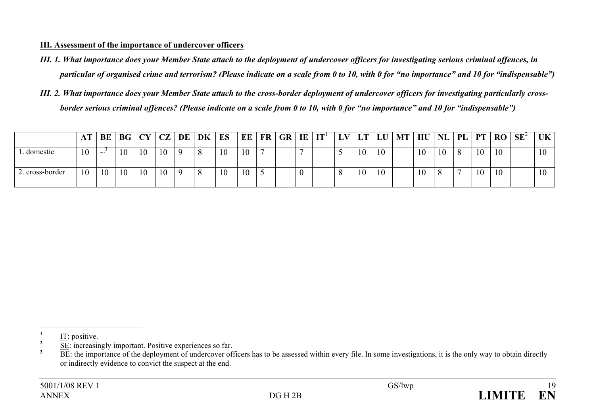#### **III. Assessment of the importance of undercover officers**

- *III. 1. What importance does your Member State attach to the deployment of undercover officers for investigating serious criminal offences, in particular of organised crime and terrorism? (Please indicate on a scale from 0 to 10, with 0 for "no importance" and 10 for "indispensable")*
- *III. 2. What importance does your Member State attach to the cross-border deployment of undercover officers for investigating particularly crossborder serious criminal offences? (Please indicate on a scale from 0 to 10, with 0 for "no importance" and 10 for "indispensable")*

|                 | AT | BE     |    | BG   CY   CZ |    | DE | DK | ES | EE | <b>FR</b> | GR | IE       | IT' | $\mathbf{L}\mathbf{V}$ | <b>LT</b> | LU | MT | HU | <b>NL</b> | PL | <b>PT</b> | <b>RO</b> | $SE^2$ | UK  |
|-----------------|----|--------|----|--------------|----|----|----|----|----|-----------|----|----------|-----|------------------------|-----------|----|----|----|-----------|----|-----------|-----------|--------|-----|
| domestic        | 10 | $\sim$ |    | 10           | 10 |    |    | 10 | 10 |           |    |          |     |                        | 10        | 10 |    | 10 | 10        | 8  | 10        | 10        |        | 1 U |
| 2. cross-border | 10 | 10     | 10 | 10           | 10 |    |    | 10 | 10 |           |    | $\theta$ |     |                        | 10        | 10 |    | 10 | $\Omega$  |    | 10        | 10        |        | 1 V |

 $\frac{1}{2}$  IT: positive.

 $\frac{2}{3}$  SE: increasingly important. Positive experiences so far.

**<sup>3</sup>** BE: the importance of the deployment of undercover officers has to be assessed within every file. In some investigations, it is the only way to obtain directly or indirectly evidence to convict the suspect at the end.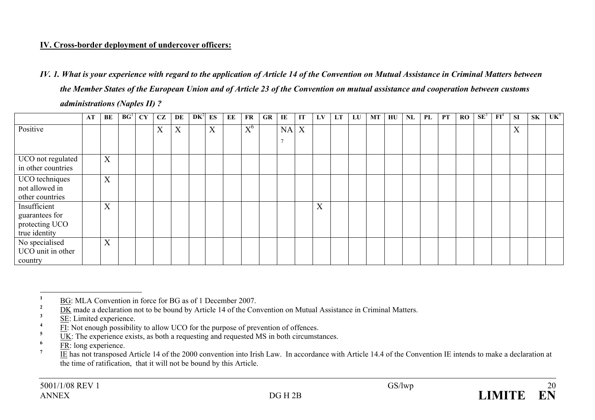# **IV. Cross-border deployment of undercover officers:**

*IV. 1. What is your experience with regard to the application of Article 14 of the Convention on Mutual Assistance in Criminal Matters between the Member States of the European Union and of Article 23 of the Convention on mutual assistance and cooperation between customs administrations (Naples II) ?* 

|                                                                   | AT | BE | BG <sup>1</sup> | CY | CZ | DE | $DK^2$ | ES | EE | <b>FR</b> | <b>GR</b> | IE | IT | LV                        | <b>LT</b> | LU | <b>MT</b> | HU | NL | PL | PT | RO | $SE^3$ | FI <sup>4</sup> | <b>SI</b>                 | <b>SK</b> | UK <sup>5</sup> |
|-------------------------------------------------------------------|----|----|-----------------|----|----|----|--------|----|----|-----------|-----------|----|----|---------------------------|-----------|----|-----------|----|----|----|----|----|--------|-----------------|---------------------------|-----------|-----------------|
| Positive                                                          |    |    |                 |    | X  | X  |        | X  |    | $X^6$     |           | NA | X  |                           |           |    |           |    |    |    |    |    |        |                 | $\boldsymbol{\mathrm{X}}$ |           |                 |
| UCO not regulated<br>in other countries                           |    | X  |                 |    |    |    |        |    |    |           |           |    |    |                           |           |    |           |    |    |    |    |    |        |                 |                           |           |                 |
| UCO techniques<br>not allowed in<br>other countries               |    | X  |                 |    |    |    |        |    |    |           |           |    |    |                           |           |    |           |    |    |    |    |    |        |                 |                           |           |                 |
| Insufficient<br>guarantees for<br>protecting UCO<br>true identity |    | X  |                 |    |    |    |        |    |    |           |           |    |    | $\mathbf{v}$<br>$\Lambda$ |           |    |           |    |    |    |    |    |        |                 |                           |           |                 |
| No specialised<br>UCO unit in other<br>country                    |    | X  |                 |    |    |    |        |    |    |           |           |    |    |                           |           |    |           |    |    |    |    |    |        |                 |                           |           |                 |

<sup>&</sup>lt;sup>1</sup> BG: MLA Convention in force for BG as of 1 December 2007.

 $\frac{2}{3}$  DK made a declaration not to be bound by Article 14 of the Convention on Mutual Assistance in Criminal Matters.

 $\frac{3}{4}$  <u>SE</u>: Limited experience.

 $\frac{4}{5}$  FI: Not enough possibility to allow UCO for the purpose of prevention of offences.

<sup>&</sup>lt;sup>5</sup> UK: The experience exists, as both a requesting and requested MS in both circumstances.

 $\frac{6}{7}$  <u>FR</u>: long experience.

**<sup>7</sup>** IE has not transposed Article 14 of the 2000 convention into Irish Law. In accordance with Article 14.4 of the Convention IE intends to make a declaration at the time of ratification, that it will not be bound by this Article.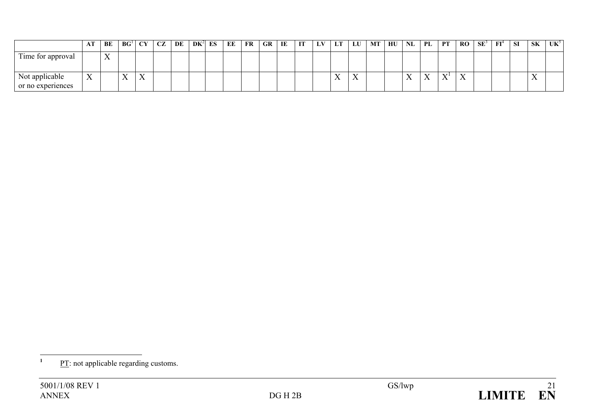|                                     | Al                        | BE                             | BG <sup>1</sup> | $CY$              | CZ | DE | $DK^2$ | ES | EЕ | FR | GR | IE | IT | LV | LT                        | LU           | <b>MT</b> | HU | NL             | PL                 | PT                        | <b>RO</b>    | $SE^3$ | $\mathbf{FI}^4$ | <b>SI</b> | <b>SK</b>                          | $UK^{\circ}$ |
|-------------------------------------|---------------------------|--------------------------------|-----------------|-------------------|----|----|--------|----|----|----|----|----|----|----|---------------------------|--------------|-----------|----|----------------|--------------------|---------------------------|--------------|--------|-----------------|-----------|------------------------------------|--------------|
| Time for approval                   |                           | $\mathbf{v}$<br>$\overline{1}$ |                 |                   |    |    |        |    |    |    |    |    |    |    |                           |              |           |    |                |                    |                           |              |        |                 |           |                                    |              |
| Not applicable<br>or no experiences | $\mathbf{v}$<br>$\Lambda$ |                                | $-$<br>∡⊾       | $ -$<br>$\Lambda$ |    |    |        |    |    |    |    |    |    |    | $\mathbf{x}$<br>$\lambda$ | $\mathbf{v}$ |           |    | $\overline{ }$ | $\mathbf{x}$<br>∡⊾ | $\mathbf{x}$<br>$\lambda$ | $\mathbf{v}$ |        |                 |           | $\tilde{\phantom{a}}$<br>$\Lambda$ |              |

<sup>&</sup>lt;sup>1</sup> PT: not applicable regarding customs.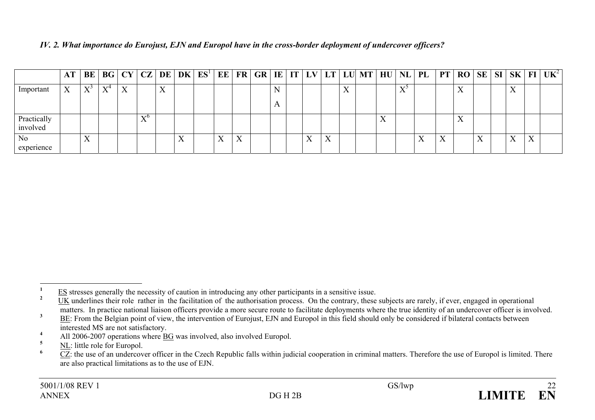|                              | AΤ               | BE                                      | BG                        | CY CZ                     |                       |     | DE DK                        | ES <sup>1</sup> | EE           |                           |  |              |           |    | FR GR IE IT LV LT LU MT |   |              | $HU\vert NL\vert PL\vert$ |                           | $PT$ RO SE SI             |           |                        |   | $ \mathbf{SK}  \mathbf{FI}   \mathbf{UK}^2 $ |
|------------------------------|------------------|-----------------------------------------|---------------------------|---------------------------|-----------------------|-----|------------------------------|-----------------|--------------|---------------------------|--|--------------|-----------|----|-------------------------|---|--------------|---------------------------|---------------------------|---------------------------|-----------|------------------------|---|----------------------------------------------|
| Important                    | $\mathbf v$<br>л | $\mathbf{V}^{\mathcal{S}}$<br>$\Lambda$ | $\mathbf{V}^{\mathbf{L}}$ | $\mathbf{v}$<br>$\Lambda$ |                       | T 7 |                              |                 |              |                           |  |              |           | ▾▾ |                         |   | $\mathbf{V}$ |                           |                           | $\mathbf{v}$<br>$\Lambda$ |           | $\mathbf{v}$           |   |                                              |
| Practically<br>involved      |                  |                                         |                           |                           | $\mathbf{x} \times 0$ |     |                              |                 |              |                           |  |              |           |    |                         | ∡ |              |                           |                           | 7<br>$\Lambda$            |           |                        |   |                                              |
| N <sub>0</sub><br>experience |                  | TT.<br>$\lambda$                        |                           |                           |                       |     | $\overline{\mathbf{x}}$<br>△ |                 | $\mathbf{v}$ | $\mathbf{v}$<br>$\Lambda$ |  | $\mathbf{v}$ | $\lambda$ |    |                         |   |              |                           | $\mathbf{v}$<br>$\Lambda$ |                           | $\lambda$ | <b>TT</b><br>$\Lambda$ | X |                                              |

*IV. 2. What importance do Eurojust, EJN and Europol have in the cross-border deployment of undercover officers?* 

 $\frac{1}{2}$  ES stresses generally the necessity of caution in introducing any other participants in a sensitive issue.

**<sup>2</sup>** UK underlines their role rather in the facilitation of the authorisation process. On the contrary, these subjects are rarely, if ever, engaged in operational matters. In practice national liaison officers provide a more secure route to facilitate deployments where the true identity of an undercover officer is involved.

<sup>&</sup>lt;sup>3</sup> BE: From the Belgian point of view, the intervention of Eurojust, EJN and Europol in this field should only be considered if bilateral contacts between interested MS are not satisfactory.

<sup>&</sup>lt;sup>4</sup> All 2006-2007 operations where <u>BG</u> was involved, also involved Europol.

 $\frac{\text{NL}}{6}$  NL: little role for Europol.

**<sup>6</sup>** CZ: the use of an undercover officer in the Czech Republic falls within judicial cooperation in criminal matters. Therefore the use of Europol is limited. There are also practical limitations as to the use of EJN.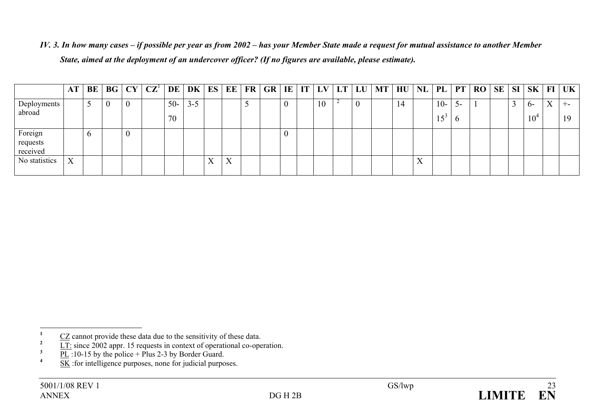*IV. 3. In how many cases – if possible per year as from 2002 – has your Member State made a request for mutual assistance to another Member State, aimed at the deployment of an undercover officer? (If no figures are available, please estimate).* 

|                                 | AT | BE       | BG | CY | $\mathbf{CZ}^1$ | DE    | DK      | ES           | EE        | $\mathbf{FR}$ | <b>GR</b> | IE | IT | LV | LT | LU | <b>MT</b> | HU | NL           | PL              | <b>PT</b>    | RO | SE | SI | SK <sub>1</sub> | FI           | <b>UK</b> |
|---------------------------------|----|----------|----|----|-----------------|-------|---------|--------------|-----------|---------------|-----------|----|----|----|----|----|-----------|----|--------------|-----------------|--------------|----|----|----|-----------------|--------------|-----------|
| Deployments                     |    |          | U  |    |                 | $50-$ | $3 - 5$ |              |           | ັ             |           |    |    | 10 |    | 0  |           | 14 |              | $10-$           | J-           |    |    |    | $0 -$           | $\mathbf{v}$ | $+ -$     |
| abroad                          |    |          |    |    |                 | 70    |         |              |           |               |           |    |    |    |    |    |           |    |              | 15 <sup>3</sup> | $\mathbf{p}$ |    |    |    | 10              |              |           |
| Foreign<br>requests<br>received |    | $\sigma$ |    |    |                 |       |         |              |           |               |           | v  |    |    |    |    |           |    |              |                 |              |    |    |    |                 |              |           |
| No statistics                   | X  |          |    |    |                 |       |         | $\mathbf{v}$ | $\Lambda$ |               |           |    |    |    |    |    |           |    | $\mathbf{A}$ |                 |              |    |    |    |                 |              |           |

- $\frac{3}{4}$  <u>PL</u>:10-15 by the police + Plus 2-3 by Border Guard.
- **<u>5K</u>** : for intelligence purposes, none for judicial purposes.

 $\frac{1}{2}$  CZ cannot provide these data due to the sensitivity of these data.

<sup>&</sup>lt;sup>2</sup>  $\overline{LT}$ : since 2002 appr. 15 requests in context of operational co-operation.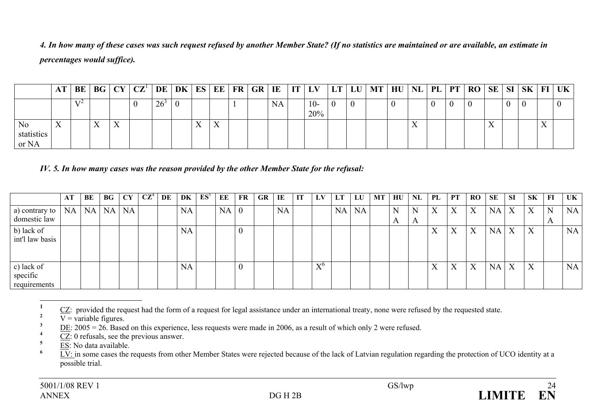*4. In how many of these cases was such request refused by another Member State? (If no statistics are maintained or are available, an estimate in percentages would suffice).* 

|                                       | BE |           |           | $BG$   $CY$   $CZ^1$   $DE$   $DK$   $ES$   $EE$   $FR$   $GR$   $IE$   $IT$   $LV$ |              |     |                           |  |           |              | LT | LU MT | $HU$ NL $PL$ |    |  | PT   RO   SE   SI |    | <b>SK</b> | $FI$   UK |
|---------------------------------------|----|-----------|-----------|-------------------------------------------------------------------------------------|--------------|-----|---------------------------|--|-----------|--------------|----|-------|--------------|----|--|-------------------|----|-----------|-----------|
|                                       |    |           |           |                                                                                     | $26^{\circ}$ |     |                           |  | <b>NA</b> | $10-$<br>20% |    |       |              |    |  |                   |    |           |           |
| N <sub>0</sub><br>statistics<br>or NA |    | $\lambda$ | $\lambda$ |                                                                                     |              | . . | $\mathbf{v}$<br>$\Lambda$ |  |           |              |    |       |              | ∡⊾ |  |                   | ∡⊾ |           |           |

*IV. 5. In how many cases was the reason provided by the other Member State for the refusal:* 

|                                        | AT | BE        | BG        | <b>CY</b> | $\mathbf{C} \mathbf{Z}^4$ | DE | DK        | $ES^5$ | ЕE        | FR               | <b>GR</b> | IE | IT | LV    | LT | LU | <b>MT</b> | HU     | <b>NL</b> | PL | PT                | <b>RO</b>                 | <b>SE</b> | -SI                       | <b>SK</b> | FI                | UK        |
|----------------------------------------|----|-----------|-----------|-----------|---------------------------|----|-----------|--------|-----------|------------------|-----------|----|----|-------|----|----|-----------|--------|-----------|----|-------------------|---------------------------|-----------|---------------------------|-----------|-------------------|-----------|
| a) contrary to<br>domestic law         | NA | <b>NA</b> | <b>NA</b> | NA        |                           |    | <b>NA</b> |        | <b>NA</b> | $\theta$         |           | NA |    |       | NA | NA |           | N<br>A | N<br>A    | X  | X                 | X                         | <b>NA</b> | $\boldsymbol{\mathrm{X}}$ | X         | N<br>$\mathbf{A}$ | <b>NA</b> |
| b) lack of<br>int'l law basis          |    |           |           |           |                           |    | <b>NA</b> |        |           | 0                |           |    |    |       |    |    |           |        |           | X  | $\mathbf{v}$<br>Λ | $\mathbf{v}$              | <b>NA</b> | $\mathbf{X}$              | X         |                   | <b>NA</b> |
| c) lack of<br>specific<br>requirements |    |           |           |           |                           |    | <b>NA</b> |        |           | $\boldsymbol{0}$ |           |    |    | $X^6$ |    |    |           |        |           | X  | X                 | $\mathbf{v}$<br>$\Lambda$ | <b>NA</b> | $\boldsymbol{X}$          | X         |                   | <b>NA</b> |

 $\frac{1}{2}$  CZ: provided the request had the form of a request for legal assistance under an international treaty, none were refused by the requested state.

 $\overline{V}$  = variable figures.

 $\frac{3}{4}$  DE: 2005 = 26. Based on this experience, less requests were made in 2006, as a result of which only 2 were refused.

 $\frac{1}{2}$   $\frac{1}{2}$   $\frac{1}{2}$   $\frac{1}{2}$  or refusals, see the previous answer.

**<sup>5</sup>** ES: No data available.

 $\overline{LV}$ : in some cases the requests from other Member States were rejected because of the lack of Latvian regulation regarding the protection of UCO identity at a possible trial.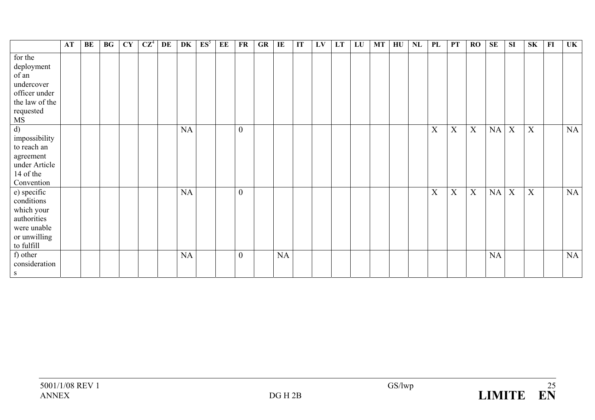|                            | AT | BE | BG | <b>CY</b> | $CZ^4$ | DE | DK | $ES^5$ | EE | <b>FR</b>        | GR | IE        | IT | LV | LT | LU | <b>MT</b> | HU | NL | PL | <b>PT</b>   | RO                        | <b>SE</b> | <b>SI</b> | <b>SK</b>                 | F1 | <b>UK</b> |
|----------------------------|----|----|----|-----------|--------|----|----|--------|----|------------------|----|-----------|----|----|----|----|-----------|----|----|----|-------------|---------------------------|-----------|-----------|---------------------------|----|-----------|
| for the<br>deployment      |    |    |    |           |        |    |    |        |    |                  |    |           |    |    |    |    |           |    |    |    |             |                           |           |           |                           |    |           |
| of an                      |    |    |    |           |        |    |    |        |    |                  |    |           |    |    |    |    |           |    |    |    |             |                           |           |           |                           |    |           |
| undercover                 |    |    |    |           |        |    |    |        |    |                  |    |           |    |    |    |    |           |    |    |    |             |                           |           |           |                           |    |           |
| officer under              |    |    |    |           |        |    |    |        |    |                  |    |           |    |    |    |    |           |    |    |    |             |                           |           |           |                           |    |           |
| the law of the             |    |    |    |           |        |    |    |        |    |                  |    |           |    |    |    |    |           |    |    |    |             |                           |           |           |                           |    |           |
| requested                  |    |    |    |           |        |    |    |        |    |                  |    |           |    |    |    |    |           |    |    |    |             |                           |           |           |                           |    |           |
| MS                         |    |    |    |           |        |    |    |        |    |                  |    |           |    |    |    |    |           |    |    |    |             |                           |           |           |                           |    |           |
| d)                         |    |    |    |           |        |    | NA |        |    | $\boldsymbol{0}$ |    |           |    |    |    |    |           |    |    | X  | $\mathbf X$ | $\boldsymbol{\mathrm{X}}$ | NA        | X         | $\boldsymbol{\mathrm{X}}$ |    | NA        |
| impossibility              |    |    |    |           |        |    |    |        |    |                  |    |           |    |    |    |    |           |    |    |    |             |                           |           |           |                           |    |           |
| to reach an                |    |    |    |           |        |    |    |        |    |                  |    |           |    |    |    |    |           |    |    |    |             |                           |           |           |                           |    |           |
|                            |    |    |    |           |        |    |    |        |    |                  |    |           |    |    |    |    |           |    |    |    |             |                           |           |           |                           |    |           |
| agreement<br>under Article |    |    |    |           |        |    |    |        |    |                  |    |           |    |    |    |    |           |    |    |    |             |                           |           |           |                           |    |           |
| 14 of the                  |    |    |    |           |        |    |    |        |    |                  |    |           |    |    |    |    |           |    |    |    |             |                           |           |           |                           |    |           |
|                            |    |    |    |           |        |    |    |        |    |                  |    |           |    |    |    |    |           |    |    |    |             |                           |           |           |                           |    |           |
| Convention                 |    |    |    |           |        |    |    |        |    |                  |    |           |    |    |    |    |           |    |    |    |             |                           |           |           |                           |    |           |
| e) specific                |    |    |    |           |        |    | NA |        |    | $\boldsymbol{0}$ |    |           |    |    |    |    |           |    |    | X  | $\mathbf X$ | X                         | NA        | X         | $\boldsymbol{\mathrm{X}}$ |    | NA        |
| conditions                 |    |    |    |           |        |    |    |        |    |                  |    |           |    |    |    |    |           |    |    |    |             |                           |           |           |                           |    |           |
| which your                 |    |    |    |           |        |    |    |        |    |                  |    |           |    |    |    |    |           |    |    |    |             |                           |           |           |                           |    |           |
| authorities                |    |    |    |           |        |    |    |        |    |                  |    |           |    |    |    |    |           |    |    |    |             |                           |           |           |                           |    |           |
| were unable                |    |    |    |           |        |    |    |        |    |                  |    |           |    |    |    |    |           |    |    |    |             |                           |           |           |                           |    |           |
| or unwilling               |    |    |    |           |        |    |    |        |    |                  |    |           |    |    |    |    |           |    |    |    |             |                           |           |           |                           |    |           |
| to fulfill                 |    |    |    |           |        |    |    |        |    |                  |    |           |    |    |    |    |           |    |    |    |             |                           |           |           |                           |    |           |
| f) other                   |    |    |    |           |        |    | NA |        |    | $\theta$         |    | <b>NA</b> |    |    |    |    |           |    |    |    |             |                           | <b>NA</b> |           |                           |    | NA        |
| consideration              |    |    |    |           |        |    |    |        |    |                  |    |           |    |    |    |    |           |    |    |    |             |                           |           |           |                           |    |           |
| S                          |    |    |    |           |        |    |    |        |    |                  |    |           |    |    |    |    |           |    |    |    |             |                           |           |           |                           |    |           |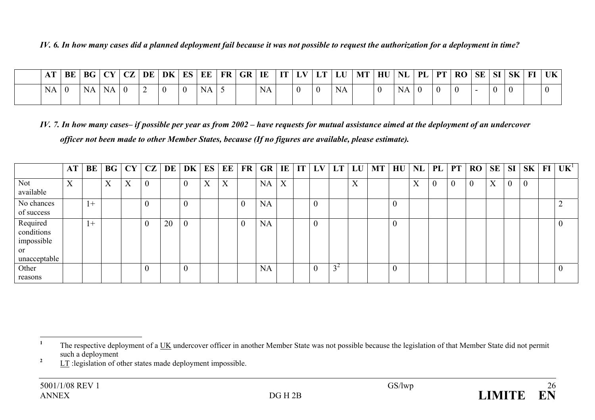### *IV. 6. In how many cases did a planned deployment fail because it was not possible to request the authorization for a deployment in time?*

| $\blacksquare$ | BE             | <b>BG</b> | G   CY   CZ   DE   DK   ES   EE |  |                |           | FR GR | IE        | IT <sub>1</sub> |  | $\vert$ LV $\vert$ LT $\vert$ LU $\vert$ | $MT$ HU $NL$ |    | $PL$ PT        | RO SE SI SK |  | FI | $\mathbf{U}$ <b>K</b> |
|----------------|----------------|-----------|---------------------------------|--|----------------|-----------|-------|-----------|-----------------|--|------------------------------------------|--------------|----|----------------|-------------|--|----|-----------------------|
| NA.            | $\overline{0}$ | <b>NA</b> | NA                              |  | $\overline{0}$ | <b>NA</b> |       | <b>NA</b> |                 |  | <b>NA</b>                                |              | NA | $\overline{0}$ |             |  |    |                       |

*IV. 7. In how many cases– if possible per year as from 2002 – have requests for mutual assistance aimed at the deployment of an undercover officer not been made to other Member States, because (If no figures are available, please estimate).* 

|                                                            | AT <sub>1</sub>   | BE   | BG | CY | CZ             | DE | DK             | ES | EE | FR       | GR        |                   | IE IT | LV | LT                    | LU                        | <b>MT</b> | HU       | $NL$   PL         |                  | PT           | <b>RO</b> | <b>SE</b> | SI               | SK       | $\bf{FI}$ | $UK^1$   |
|------------------------------------------------------------|-------------------|------|----|----|----------------|----|----------------|----|----|----------|-----------|-------------------|-------|----|-----------------------|---------------------------|-----------|----------|-------------------|------------------|--------------|-----------|-----------|------------------|----------|-----------|----------|
| <b>Not</b><br>available                                    | $\mathbf{v}$<br>л |      | X  | X  | $\overline{0}$ |    | $\overline{0}$ | X  | X  |          | NA        | $\mathbf{v}$<br>Λ |       |    |                       | $\mathbf{v}$<br>$\Lambda$ |           |          | $\mathbf{v}$<br>л | $\boldsymbol{0}$ | $\mathbf{0}$ |           | X         | $\boldsymbol{0}$ | $\theta$ |           |          |
| No chances<br>of success                                   |                   | $1+$ |    |    | $\theta$       |    |                |    |    | $\theta$ | NA        |                   |       |    |                       |                           |           |          |                   |                  |              |           |           |                  |          |           | $\sim$   |
| Required<br>conditions<br>impossible<br>or<br>unacceptable |                   | $+$  |    |    | $\theta$       | 20 | $\theta$       |    |    | $\theta$ | NA        |                   |       |    |                       |                           |           | $\theta$ |                   |                  |              |           |           |                  |          |           |          |
| Other<br>reasons                                           |                   |      |    |    | $\theta$       |    | $\theta$       |    |    |          | <b>NA</b> |                   |       |    | $\gamma$ <sup>2</sup> |                           |           | $\theta$ |                   |                  |              |           |           |                  |          |           | $\theta$ |

<sup>&</sup>lt;sup>1</sup> The respective deployment of a UK undercover officer in another Member State was not possible because the legislation of that Member State did not permit such a deployment

<sup>&</sup>lt;sup>2</sup> LT :legislation of other states made deployment impossible.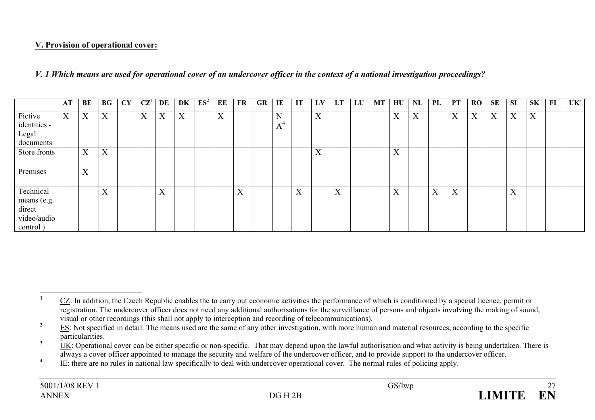### **V. Provision of operational cover:**

*V. 1 Which means are used for operational cover of an undercover officer in the context of a national investigation proceedings?* 

|                                                               | AT | BE | $\mathbf{B}$ G   | CY | CZ <sup>1</sup> | DE                        | DK | $ES^2$ | EE                        | FR                        | <b>GR</b> | IE     | IT | LV | LT | LU | MT | HU                        | NL                        | PL | <b>PT</b> | $\bf{RO}$ | SE | <b>SI</b> | <b>SK</b>                 | FI | UK <sup>3</sup> |
|---------------------------------------------------------------|----|----|------------------|----|-----------------|---------------------------|----|--------|---------------------------|---------------------------|-----------|--------|----|----|----|----|----|---------------------------|---------------------------|----|-----------|-----------|----|-----------|---------------------------|----|-----------------|
| Fictive<br>identities -<br>Legal<br>documents                 | X  | X  | $\boldsymbol{X}$ |    | X               | X                         | X  |        | $\mathbf{v}$<br>$\Lambda$ |                           |           | N<br>A |    | X  |    |    |    | $\mathbf{v}$<br>$\Lambda$ | $\mathbf{v}$<br>$\Lambda$ |    | X         | X         | X  | X         | $\mathbf{v}$<br>$\Lambda$ |    |                 |
| Store fronts                                                  |    | X  | X                |    |                 |                           |    |        |                           |                           |           |        |    | X  |    |    |    | $\mathbf{v}$<br>$\Lambda$ |                           |    |           |           |    |           |                           |    |                 |
| Premises                                                      |    | X  |                  |    |                 |                           |    |        |                           |                           |           |        |    |    |    |    |    |                           |                           |    |           |           |    |           |                           |    |                 |
| Technical<br>means (e.g.<br>direct<br>video/audio<br>control) |    |    | X                |    |                 | $\mathbf{v}$<br>$\Lambda$ |    |        |                           | $\mathbf{x}$<br>$\Lambda$ |           |        | X  |    | X  |    |    | $\mathbf{v}$<br>$\Lambda$ |                           | X  | X         |           |    | X         |                           |    |                 |

<sup>&</sup>lt;sup>1</sup> CZ: In addition, the Czech Republic enables the to carry out economic activities the performance of which is conditioned by a special licence, permit or registration. The undercover officer does not need any additional authorisations for the surveillance of persons and objects involving the making of sound, visual or other recordings (this shall not apply to interception and recording of telecommunications).

<sup>&</sup>lt;sup>2</sup> ES: Not specified in detail. The means used are the same of any other investigation, with more human and material resources, according to the specific particularities.

 $\frac{1}{2}$  UK: Operational cover can be either specific or non-specific. That may depend upon the lawful authorisation and what activity is being undertaken. There is always a cover officer appointed to manage the security and welfare of the undercover officer, and to provide support to the undercover officer.

<sup>&</sup>lt;sup>4</sup> IE: there are no rules in national law specifically to deal with undercover operational cover. The normal rules of policing apply.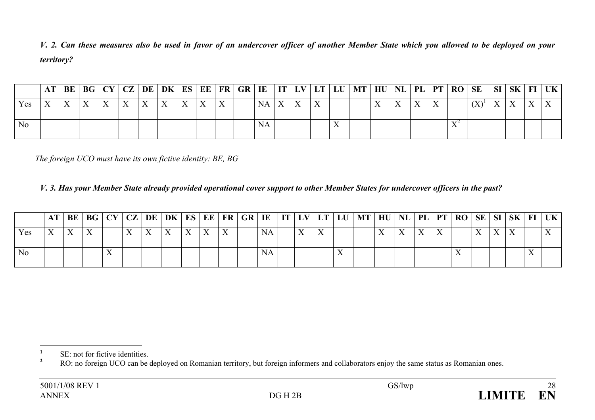*V. 2. Can these measures also be used in favor of an undercover officer of another Member State which you allowed to be deployed on your territory?* 

|     |              |                           |              |  |              |  | BE   BG   CY   CZ   DE   DK   ES   EE   FR   GR   IE   IT   LV   LT   LU |           |              |              |              | $\vert$ MT $\vert$ HU $\vert$ NL $\vert$ PL $\vert$ PT $\vert$ RO $\vert$ SE |  |              |        |                            |                                     | SI | SK <sub>1</sub> |              | FI   UK |
|-----|--------------|---------------------------|--------------|--|--------------|--|--------------------------------------------------------------------------|-----------|--------------|--------------|--------------|------------------------------------------------------------------------------|--|--------------|--------|----------------------------|-------------------------------------|----|-----------------|--------------|---------|
| Yes | $\mathbf{v}$ | $\mathbf{v}$<br>$\Lambda$ | $\mathbf{v}$ |  | $\mathbf{v}$ |  |                                                                          | NA        | $\mathbf{Y}$ | $\mathbf{v}$ |              |                                                                              |  | $\mathbf{v}$ | $\tau$ |                            | $\Delta$<br>$\mathbf{1} \mathbf{1}$ |    | TT.             | $\mathbf{v}$ |         |
| No  |              |                           |              |  |              |  |                                                                          | <b>NA</b> |              |              | $\mathbf{v}$ |                                                                              |  |              |        | $\mathbf{V}^{\mathcal{L}}$ |                                     |    |                 |              |         |

*The foreign UCO must have its own fictive identity: BE, BG*

### *V. 3. Has your Member State already provided operational cover support to other Member States for undercover officers in the past?*

|                | AT BE |  |              |                           | BG   CY   CZ   DE   DK   ES   EE   FR   GR   IE |                           |              |           |           |  | $\vert$ IT $\vert$ LV $\vert$ LT $\vert$ LU $\vert$ MT $\vert$ HU $\vert$ NL $\vert$ PL $\vert$ PT $\vert$ RO $\vert$ SE $\vert$ SI $\vert$ |                |  |              |           | SK           |              | $FI$   UK |
|----------------|-------|--|--------------|---------------------------|-------------------------------------------------|---------------------------|--------------|-----------|-----------|--|---------------------------------------------------------------------------------------------------------------------------------------------|----------------|--|--------------|-----------|--------------|--------------|-----------|
| Yes            |       |  | $\mathbf{x}$ | $\mathbf{v}$<br>$\Lambda$ |                                                 | $\mathbf{v}$<br>$\Lambda$ | $\mathbf{v}$ | <b>NA</b> | $\Lambda$ |  |                                                                                                                                             | $\overline{1}$ |  | $\mathbf{v}$ | $\lambda$ | $\mathbf{V}$ |              |           |
| N <sub>o</sub> |       |  |              |                           |                                                 |                           |              | <b>NA</b> |           |  |                                                                                                                                             |                |  |              |           |              | $\mathbf{v}$ |           |

**<sup>2</sup>** RO: no foreign UCO can be deployed on Romanian territory, but foreign informers and collaborators enjoy the same status as Romanian ones.

 $\frac{1}{2}$  <u>SE</u>: not for fictive identities.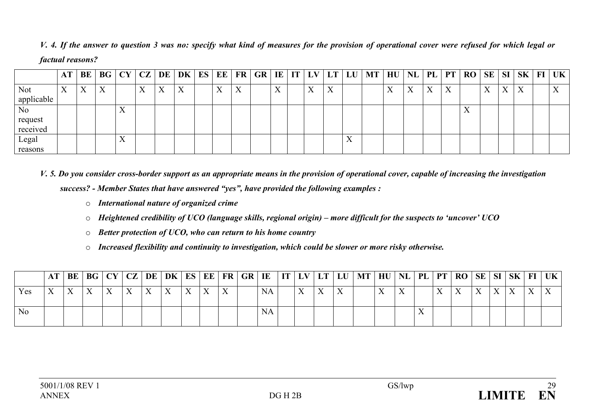*V. 4. If the answer to question 3 was no: specify what kind of measures for the provision of operational cover were refused for which legal or factual reasons?* 

|                | $\mathbf{A}$              | BE | <b>BG</b> | CY                        | CZ                | DE                        | DK | ES | EE                                   | <b>FR</b>                 | <b>GR</b> | IE                        | IT | LV                        | LT | LU                        | <b>MT</b> | HU                | NL                | PL        | PT | <b>RO</b>                 | SE                        | <b>SI</b> | <b>SK</b>                 | $\bf{FI}$ | UK                        |
|----------------|---------------------------|----|-----------|---------------------------|-------------------|---------------------------|----|----|--------------------------------------|---------------------------|-----------|---------------------------|----|---------------------------|----|---------------------------|-----------|-------------------|-------------------|-----------|----|---------------------------|---------------------------|-----------|---------------------------|-----------|---------------------------|
| <b>Not</b>     | $\mathbf{v}$<br>$\Lambda$ | X  | X         |                           | $\mathbf{x}$<br>Λ | $\mathbf{v}$<br>$\Lambda$ | X  |    | $\overline{\mathbf{x}}$<br>$\Lambda$ | $\mathbf{v}$<br>$\Lambda$ |           | $\mathbf{x}$<br>$\Lambda$ |    | $\mathbf{v}$<br>$\lambda$ | X  |                           |           | $\mathbf{v}$<br>Λ | $\mathbf{x}$<br>Λ | $\Lambda$ | X  |                           | $\mathbf{v}$<br>$\Lambda$ | $\Lambda$ | $\mathbf{v}$<br>$\Lambda$ |           | $\mathbf{v}$<br>$\Lambda$ |
| applicable     |                           |    |           |                           |                   |                           |    |    |                                      |                           |           |                           |    |                           |    |                           |           |                   |                   |           |    |                           |                           |           |                           |           |                           |
| N <sub>o</sub> |                           |    |           | $\mathbf{v}$<br>$\Lambda$ |                   |                           |    |    |                                      |                           |           |                           |    |                           |    |                           |           |                   |                   |           |    | $\mathbf{v}$<br>$\Lambda$ |                           |           |                           |           |                           |
| request        |                           |    |           |                           |                   |                           |    |    |                                      |                           |           |                           |    |                           |    |                           |           |                   |                   |           |    |                           |                           |           |                           |           |                           |
| received       |                           |    |           |                           |                   |                           |    |    |                                      |                           |           |                           |    |                           |    |                           |           |                   |                   |           |    |                           |                           |           |                           |           |                           |
| Legal          |                           |    |           | $\mathbf{v}$<br>$\Lambda$ |                   |                           |    |    |                                      |                           |           |                           |    |                           |    | $\mathbf{v}$<br>$\Lambda$ |           |                   |                   |           |    |                           |                           |           |                           |           |                           |
| reasons        |                           |    |           |                           |                   |                           |    |    |                                      |                           |           |                           |    |                           |    |                           |           |                   |                   |           |    |                           |                           |           |                           |           |                           |

*V. 5. Do you consider cross-border support as an appropriate means in the provision of operational cover, capable of increasing the investigation success? - Member States that have answered "yes", have provided the following examples :* 

- o *International nature of organized crime*
- o *Heightened credibility of UCO (language skills, regional origin) more difficult for the suspects to 'uncover' UCO*
- o *Better protection of UCO, who can return to his home country*
- o *Increased flexibility and continuity to investigation, which could be slower or more risky otherwise.*

|                |                           |                           |              |  |              |  |           |  |  | BE   BG   CY   CZ   DE   DK   ES   EE   FR   GR   IE     IT   LV   LT   LU   MT   HU   NL   PL   PT   RO   SE   SI   SK |  |  |  |              |              | $FI$   UK |
|----------------|---------------------------|---------------------------|--------------|--|--------------|--|-----------|--|--|-------------------------------------------------------------------------------------------------------------------------|--|--|--|--------------|--------------|-----------|
| y es           | $\mathbf{v}$<br>$\Lambda$ | $\mathbf{v}$<br>$\Lambda$ | $\mathbf{v}$ |  | $\mathbf{v}$ |  | <b>NA</b> |  |  |                                                                                                                         |  |  |  | $\mathbf{v}$ | $\mathbf{v}$ |           |
| N <sub>0</sub> |                           |                           |              |  |              |  | <b>NA</b> |  |  |                                                                                                                         |  |  |  |              |              |           |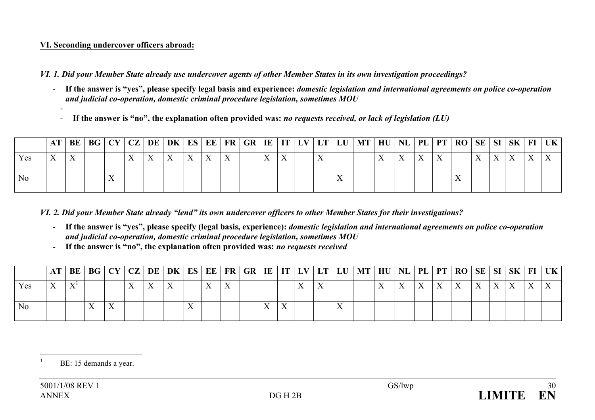### **VI. Seconding undercover officers abroad:**

*VI. 1. Did your Member State already use undercover agents of other Member States in its own investigation proceedings?* 

- **If the answer is "yes", please specify legal basis and experience:** *domestic legislation and international agreements on police co-operation and judicial co-operation, domestic criminal procedure legislation, sometimes MOU*
- -**If the answer is "no", the explanation often provided was:** *no requests received, or lack of legislation (LU)*

|                |              |  |  |           |              |                          |  |  |  | AT   BE   BG   CY   CZ   DE   DK   ES   EE   FR   GR   IE   IT   LV   LT   LU   MT   HU |  |              |  |                    |  | $\vert$ NL $\vert$ PL $\vert$ PT $\vert$ RO $\vert$ SE $\vert$ SI $\vert$ SK $\vert$ FI $\vert$ UK $\vert$ |
|----------------|--------------|--|--|-----------|--------------|--------------------------|--|--|--|-----------------------------------------------------------------------------------------|--|--------------|--|--------------------|--|------------------------------------------------------------------------------------------------------------|
| Yes            | $\mathbf{v}$ |  |  | $\Lambda$ | $\mathbf{v}$ | $\mathbf v$<br>$\Lambda$ |  |  |  |                                                                                         |  | $\mathbf{v}$ |  | $\mathbf{v}$<br>∡⊾ |  |                                                                                                            |
| N <sub>0</sub> |              |  |  |           |              |                          |  |  |  |                                                                                         |  |              |  |                    |  |                                                                                                            |

*VI. 2. Did your Member State already "lend" its own undercover officers to other Member States for their investigations?* 

- **If the answer is "yes", please specify (legal basis, experience):** *domestic legislation and international agreements on police co-operation and judicial co-operation, domestic criminal procedure legislation, sometimes MOU*
- -**If the answer is "no", the explanation often provided was:** *no requests received*

|                |  |  |  |  |  |  |  |  | AT   BE   BG   CY   CZ   DE   DK   ES   EE   FR   GR   IE   IT   LV   LT   LU   MT   HU   NL   PL   PT   RO   SE   SI   SK   FI   UK |  |              |  |     |  |  |
|----------------|--|--|--|--|--|--|--|--|--------------------------------------------------------------------------------------------------------------------------------------|--|--------------|--|-----|--|--|
| Yes-           |  |  |  |  |  |  |  |  |                                                                                                                                      |  | $\mathbf{V}$ |  | V V |  |  |
| N <sub>o</sub> |  |  |  |  |  |  |  |  |                                                                                                                                      |  |              |  |     |  |  |

 $\overline{1}$  BE: 15 demands a year.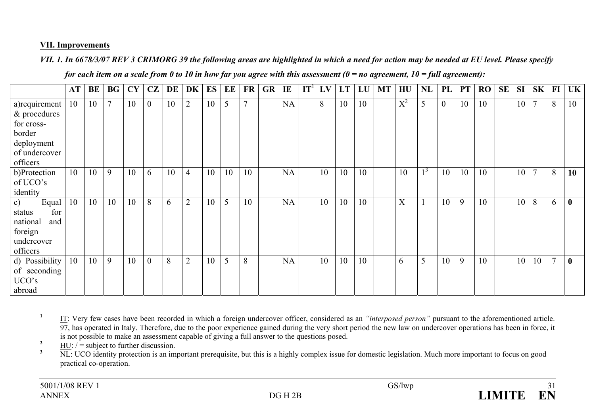### **VII. Improvements**

*VII. 1. In 6678/3/07 REV 3 CRIMORG 39 the following areas are highlighted in which a need for action may be needed at EU level. Please specify* 

| for each item on a scale from 0 to 10 in how far you agree with this assessment ( $0 = no$ agreement, $10 = full$ agreement): |  |  |  |  |
|-------------------------------------------------------------------------------------------------------------------------------|--|--|--|--|
|-------------------------------------------------------------------------------------------------------------------------------|--|--|--|--|

|                                | <b>AT</b> | BE | <b>BG</b> | CY | CZ             | DE | DK             | <b>ES</b> | EE | <b>FR</b>    | <b>GR</b> | IE        | $IT^{\perp}$ | LV | LT | LU | <b>MT</b> | HU    | NL    | PL             | <b>PT</b> | <b>RO</b> | <b>SE</b> | <b>SI</b> | <b>SK</b>      | FI     | UK       |
|--------------------------------|-----------|----|-----------|----|----------------|----|----------------|-----------|----|--------------|-----------|-----------|--------------|----|----|----|-----------|-------|-------|----------------|-----------|-----------|-----------|-----------|----------------|--------|----------|
| a) requirement<br>& procedures | 10        | 10 | $\tau$    | 10 | $\overline{0}$ | 10 | $\overline{2}$ | 10        | 5  | $\mathbf{r}$ |           | <b>NA</b> |              | 8  | 10 | 10 |           | $X^2$ | 5     | $\overline{0}$ | 10        | 10        |           | 10        | $\overline{7}$ | 8      | 10       |
| for cross-                     |           |    |           |    |                |    |                |           |    |              |           |           |              |    |    |    |           |       |       |                |           |           |           |           |                |        |          |
| border                         |           |    |           |    |                |    |                |           |    |              |           |           |              |    |    |    |           |       |       |                |           |           |           |           |                |        |          |
| deployment                     |           |    |           |    |                |    |                |           |    |              |           |           |              |    |    |    |           |       |       |                |           |           |           |           |                |        |          |
| of undercover                  |           |    |           |    |                |    |                |           |    |              |           |           |              |    |    |    |           |       |       |                |           |           |           |           |                |        |          |
| officers                       |           |    |           |    |                |    |                |           |    |              |           |           |              |    |    |    |           |       |       |                |           |           |           |           |                |        |          |
| b)Protection                   | 10        | 10 | 9         | 10 | 6              | 10 | $\overline{4}$ | 10        | 10 | 10           |           | <b>NA</b> |              | 10 | 10 | 10 |           | 10    | $1^3$ | 10             | 10        | 10        |           | 10        | $\tau$         | 8      | 10       |
| of UCO's                       |           |    |           |    |                |    |                |           |    |              |           |           |              |    |    |    |           |       |       |                |           |           |           |           |                |        |          |
| identity                       |           |    |           |    |                |    |                |           |    |              |           |           |              |    |    |    |           |       |       |                |           |           |           |           |                |        |          |
| Equal<br>c)                    | 10        | 10 | 10        | 10 | 8              | 6  | $\overline{2}$ | 10        | 5  | 10           |           | <b>NA</b> |              | 10 | 10 | 10 |           | X     |       | 10             | 9         | 10        |           | 10        | 8              | 6      | $\bf{0}$ |
| for<br>status                  |           |    |           |    |                |    |                |           |    |              |           |           |              |    |    |    |           |       |       |                |           |           |           |           |                |        |          |
| national<br>and                |           |    |           |    |                |    |                |           |    |              |           |           |              |    |    |    |           |       |       |                |           |           |           |           |                |        |          |
| foreign                        |           |    |           |    |                |    |                |           |    |              |           |           |              |    |    |    |           |       |       |                |           |           |           |           |                |        |          |
| undercover                     |           |    |           |    |                |    |                |           |    |              |           |           |              |    |    |    |           |       |       |                |           |           |           |           |                |        |          |
| officers                       |           |    | 9         |    |                |    |                |           |    |              |           |           |              |    | 10 |    |           |       |       |                |           |           |           |           |                | $\tau$ |          |
| d) Possibility                 | 10        | 10 |           | 10 | $\overline{0}$ | 8  | $\overline{2}$ | 10        | 5  | 8            |           | <b>NA</b> |              | 10 |    | 10 |           | 6     | 5     | 10             | 9         | 10        |           | 10        | 10             |        | $\bf{0}$ |
| of seconding<br>UCO's          |           |    |           |    |                |    |                |           |    |              |           |           |              |    |    |    |           |       |       |                |           |           |           |           |                |        |          |
| abroad                         |           |    |           |    |                |    |                |           |    |              |           |           |              |    |    |    |           |       |       |                |           |           |           |           |                |        |          |
|                                |           |    |           |    |                |    |                |           |    |              |           |           |              |    |    |    |           |       |       |                |           |           |           |           |                |        |          |

**<sup>1</sup>** IT: Very few cases have been recorded in which a foreign undercover officer, considered as an *"interposed person"* pursuan<sup>t</sup> to the aforementioned article. 97, has operated in Italy. Therefore, due to the poor experience gained during the very short period the new law on undercover operations has been in force, it is not possible to make an assessment capable of giving a full answer to the questions posed.

 $\frac{2}{3}$  HU:  $/$  = subject to further discussion.

**<sup>3</sup>** NL: UCO identity protection is an important prerequisite, but this is a highly complex issue for domestic legislation. Much more important to focus on good practical co-operation.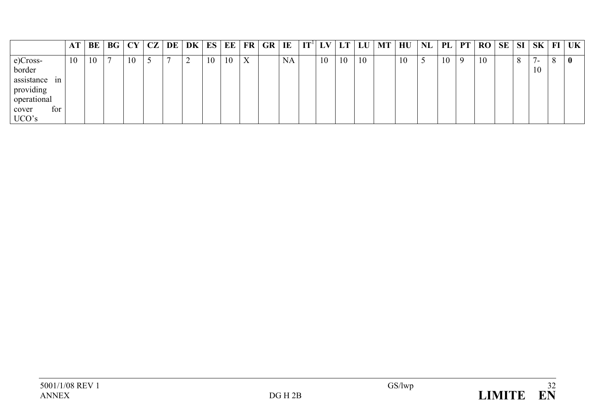|                                                                                             | AT | BE | BG             | CY | CZ | DE | DK | ES | EE | <b>FR</b> | <b>GR</b> | IE | $\mathbf{I} \mathbf{T}^{\text{I}}$ | LV | LT | LU | <b>MT</b> | HU | <b>NL</b> | PL | <b>PT</b> | <b>RO</b> | SE | SI | SK                             | $\bf{FI}$ | <b>UK</b> |
|---------------------------------------------------------------------------------------------|----|----|----------------|----|----|----|----|----|----|-----------|-----------|----|------------------------------------|----|----|----|-----------|----|-----------|----|-----------|-----------|----|----|--------------------------------|-----------|-----------|
| e)Cross-<br>border<br>assistance<br>1n<br>providing<br>operational<br>for<br>cover<br>UCO's | 10 | 10 | $\overline{ }$ | 10 | ب  | -  | ∼  | 10 | 10 | X         |           | NA |                                    | 10 | 10 | 10 |           | 10 | ◡         | 10 | -9        | 10        |    | 8  | $\overline{\phantom{a}}$<br>10 | 8         | $\bf{0}$  |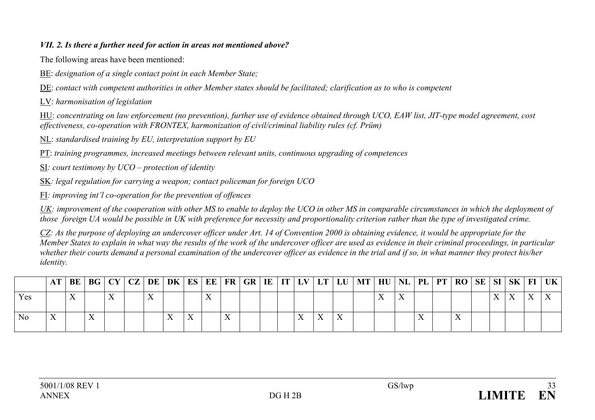### *VII. 2. Is there a further need for action in areas not mentioned above?*

The following areas have been mentioned:

BE: *designation of a single contact point in each Member State;* 

DE: *contact with competent authorities in other Member states should be facilitated; clarification as to who is competent* 

LV: *harmonisation of legislation* 

HU: *concentrating on law enforcement (no prevention), further use of evidence obtained through UCO, EAW list, JIT-type model agreement, cost effectiveness, co-operation with FRONTEX, harmonization of civil/criminal liability rules (cf. Prüm)* 

NL: *standardised training by EU, interpretation support by EU* 

PT: *training programmes, increased meetings between relevant units, continuous upgrading of competences* 

SI*: court testimony by UCO – protection of identity* 

SK*: legal regulation for carrying a weapon; contact policeman for foreign UCO* 

FI*: improving int'l co-operation for the prevention of offences* 

UK: improvement of the cooperation with other MS to enable to deploy the UCO in other MS in comparable circumstances in which the deployment of *those foreign UA would be possible in UK with preference for necessity and proportionality criterion rather than the type of investigated crime.* 

*CZ: As the purpose of deploying an undercover officer under Art. 14 of Convention 2000 is obtaining evidence, it would be appropriate for the Member States to explain in what way the results of the work of the undercover officer are used as evidence in their criminal proceedings, in particular*  whether their courts demand a personal examination of the undercover officer as evidence in the trial and if so, in what manner they protect his/her *identity.*

|                |  |  |  |  |              |  |  |  | AT   BE   BG   CY   CZ   DE   DK   ES   EE   FR   GR   IE   IT   LV   LT   LU   MT   HU   NL   PL   PT   RO   SE   SI   SK   FI |  |  |  |  | UK |
|----------------|--|--|--|--|--------------|--|--|--|---------------------------------------------------------------------------------------------------------------------------------|--|--|--|--|----|
| Yes-           |  |  |  |  |              |  |  |  |                                                                                                                                 |  |  |  |  |    |
| N <sub>o</sub> |  |  |  |  | $\mathbf{v}$ |  |  |  |                                                                                                                                 |  |  |  |  |    |